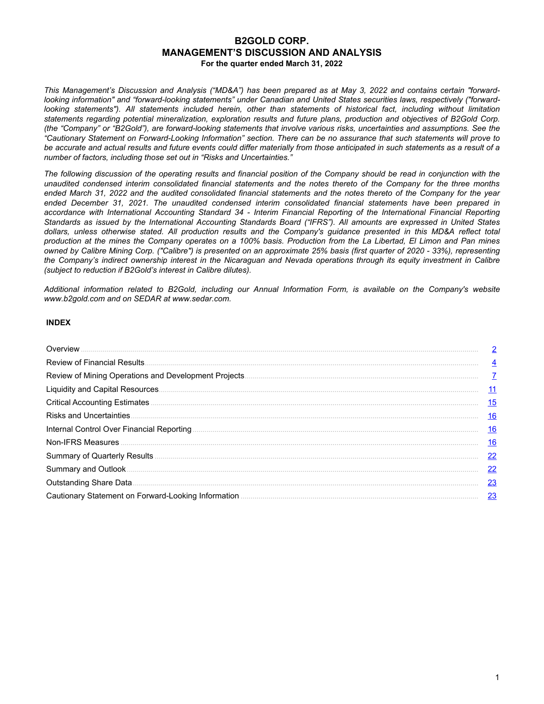# **B2GOLD CORP. MANAGEMENT'S DISCUSSION AND ANALYSIS For the quarter ended March 31, 2022**

*This Management's Discussion and Analysis ("MD&A") has been prepared as at May 3, 2022 and contains certain "forwardlooking information" and "forward-looking statements" under Canadian and United States securities laws, respectively ("forwardlooking statements"). All statements included herein, other than statements of historical fact, including without limitation statements regarding potential mineralization, exploration results and future plans, production and objectives of B2Gold Corp. (the "Company" or "B2Gold"), are forward-looking statements that involve various risks, uncertainties and assumptions. See the "Cautionary Statement on Forward-Looking Information" section. There can be no assurance that such statements will prove to be accurate and actual results and future events could differ materially from those anticipated in such statements as a result of a number of factors, including those set out in "Risks and Uncertainties."*

*The following discussion of the operating results and financial position of the Company should be read in conjunction with the unaudited condensed interim consolidated financial statements and the notes thereto of the Company for the three months ended March 31, 2022 and the audited consolidated financial statements and the notes thereto of the Company for the year ended December 31, 2021. The unaudited condensed interim consolidated financial statements have been prepared in accordance with International Accounting Standard 34 - Interim Financial Reporting of the International Financial Reporting Standards as issued by the International Accounting Standards Board ("IFRS"). All amounts are expressed in United States dollars, unless otherwise stated. All production results and the Company's guidance presented in this MD&A reflect total production at the mines the Company operates on a 100% basis. Production from the La Libertad, El Limon and Pan mines owned by Calibre Mining Corp. ("Calibre") is presented on an approximate 25% basis (first quarter of 2020 - 33%), representing the Company's indirect ownership interest in the Nicaraguan and Nevada operations through its equity investment in Calibre (subject to reduction if B2Gold's interest in Calibre dilutes).*

*Additional information related to B2Gold, including our Annual Information Form, is available on the Company's website www.b2gold.com and on SEDAR at www.sedar.com.*

# **INDEX**

| Overview                       |                 |
|--------------------------------|-----------------|
|                                |                 |
|                                | 7               |
|                                | <u>11</u>       |
|                                | 15              |
| <b>Risks and Uncertainties</b> | <u> 16</u>      |
|                                | 16              |
|                                | <u> 16</u>      |
|                                | 22              |
|                                | $\overline{22}$ |
|                                | 23              |
|                                | 23              |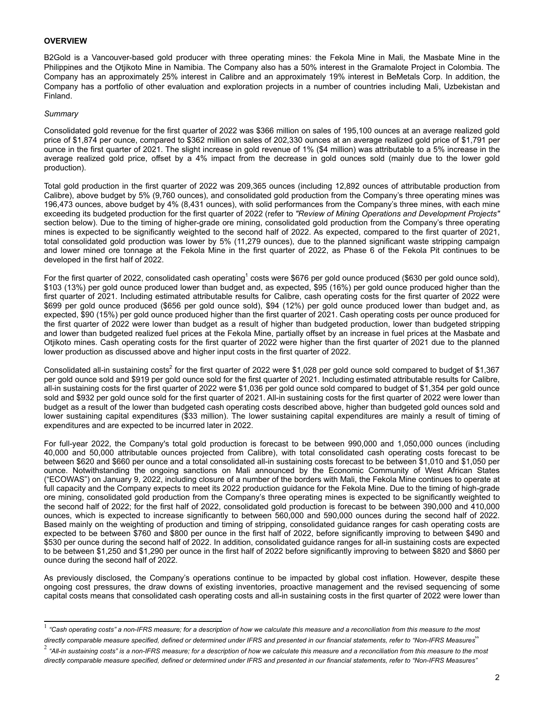# <span id="page-1-0"></span>**OVERVIEW**

B2Gold is a Vancouver-based gold producer with three operating mines: the Fekola Mine in Mali, the Masbate Mine in the Philippines and the Otjikoto Mine in Namibia. The Company also has a 50% interest in the Gramalote Project in Colombia. The Company has an approximately 25% interest in Calibre and an approximately 19% interest in BeMetals Corp. In addition, the Company has a portfolio of other evaluation and exploration projects in a number of countries including Mali, Uzbekistan and Finland.

#### *Summary*

Consolidated gold revenue for the first quarter of 2022 was \$366 million on sales of 195,100 ounces at an average realized gold price of \$1,874 per ounce, compared to \$362 million on sales of 202,330 ounces at an average realized gold price of \$1,791 per ounce in the first quarter of 2021. The slight increase in gold revenue of 1% (\$4 million) was attributable to a 5% increase in the average realized gold price, offset by a 4% impact from the decrease in gold ounces sold (mainly due to the lower gold production).

Total gold production in the first quarter of 2022 was 209,365 ounces (including 12,892 ounces of attributable production from Calibre), above budget by 5% (9,760 ounces), and consolidated gold production from the Company's three operating mines was 196,473 ounces, above budget by 4% (8,431 ounces), with solid performances from the Company's three mines, with each mine exceeding its budgeted production for the first quarter of 2022 (refer to *"Review of Mining Operations and Development Projects"* section below). Due to the timing of higher-grade ore mining, consolidated gold production from the Company's three operating mines is expected to be significantly weighted to the second half of 2022. As expected, compared to the first quarter of 2021, total consolidated gold production was lower by 5% (11,279 ounces), due to the planned significant waste stripping campaign and lower mined ore tonnage at the Fekola Mine in the first quarter of 2022, as Phase 6 of the Fekola Pit continues to be developed in the first half of 2022.

For the first quarter of 2022, consolidated cash operating<sup>1</sup> costs were \$676 per gold ounce produced (\$630 per gold ounce sold), \$103 (13%) per gold ounce produced lower than budget and, as expected, \$95 (16%) per gold ounce produced higher than the first quarter of 2021. Including estimated attributable results for Calibre, cash operating costs for the first quarter of 2022 were \$699 per gold ounce produced (\$656 per gold ounce sold), \$94 (12%) per gold ounce produced lower than budget and, as expected, \$90 (15%) per gold ounce produced higher than the first quarter of 2021. Cash operating costs per ounce produced for the first quarter of 2022 were lower than budget as a result of higher than budgeted production, lower than budgeted stripping and lower than budgeted realized fuel prices at the Fekola Mine, partially offset by an increase in fuel prices at the Masbate and Otjikoto mines. Cash operating costs for the first quarter of 2022 were higher than the first quarter of 2021 due to the planned lower production as discussed above and higher input costs in the first quarter of 2022.

Consolidated all-in sustaining costs<sup>2</sup> for the first quarter of 2022 were \$1,028 per gold ounce sold compared to budget of \$1,367 per gold ounce sold and \$919 per gold ounce sold for the first quarter of 2021. Including estimated attributable results for Calibre, all-in sustaining costs for the first quarter of 2022 were \$1,036 per gold ounce sold compared to budget of \$1,354 per gold ounce sold and \$932 per gold ounce sold for the first quarter of 2021. All-in sustaining costs for the first quarter of 2022 were lower than budget as a result of the lower than budgeted cash operating costs described above, higher than budgeted gold ounces sold and lower sustaining capital expenditures (\$33 million). The lower sustaining capital expenditures are mainly a result of timing of expenditures and are expected to be incurred later in 2022.

For full-year 2022, the Company's total gold production is forecast to be between 990,000 and 1,050,000 ounces (including 40,000 and 50,000 attributable ounces projected from Calibre), with total consolidated cash operating costs forecast to be between \$620 and \$660 per ounce and a total consolidated all-in sustaining costs forecast to be between \$1,010 and \$1,050 per ounce. Notwithstanding the ongoing sanctions on Mali announced by the Economic Community of West African States ("ECOWAS") on January 9, 2022, including closure of a number of the borders with Mali, the Fekola Mine continues to operate at full capacity and the Company expects to meet its 2022 production guidance for the Fekola Mine. Due to the timing of high-grade ore mining, consolidated gold production from the Company's three operating mines is expected to be significantly weighted to the second half of 2022; for the first half of 2022, consolidated gold production is forecast to be between 390,000 and 410,000 ounces, which is expected to increase significantly to between 560,000 and 590,000 ounces during the second half of 2022. Based mainly on the weighting of production and timing of stripping, consolidated guidance ranges for cash operating costs are expected to be between \$760 and \$800 per ounce in the first half of 2022, before significantly improving to between \$490 and \$530 per ounce during the second half of 2022. In addition, consolidated guidance ranges for all-in sustaining costs are expected to be between \$1,250 and \$1,290 per ounce in the first half of 2022 before significantly improving to between \$820 and \$860 per ounce during the second half of 2022.

As previously disclosed, the Company's operations continue to be impacted by global cost inflation. However, despite these ongoing cost pressures, the draw downs of existing inventories, proactive management and the revised sequencing of some capital costs means that consolidated cash operating costs and all-in sustaining costs in the first quarter of 2022 were lower than

<sup>1</sup> *"Cash operating costs" a non-IFRS measure; for a description of how we calculate this measure and a reconciliation from this measure to the most* 

*directly comparable measure specified, defined or determined under IFRS and presented in our financial statements, refer to "Non-IFRS Measures*"

<sup>2</sup> *"All-in sustaining costs" is a non-IFRS measure; for a description of how we calculate this measure and a reconciliation from this measure to the most directly comparable measure specified, defined or determined under IFRS and presented in our financial statements, refer to "Non-IFRS Measures"*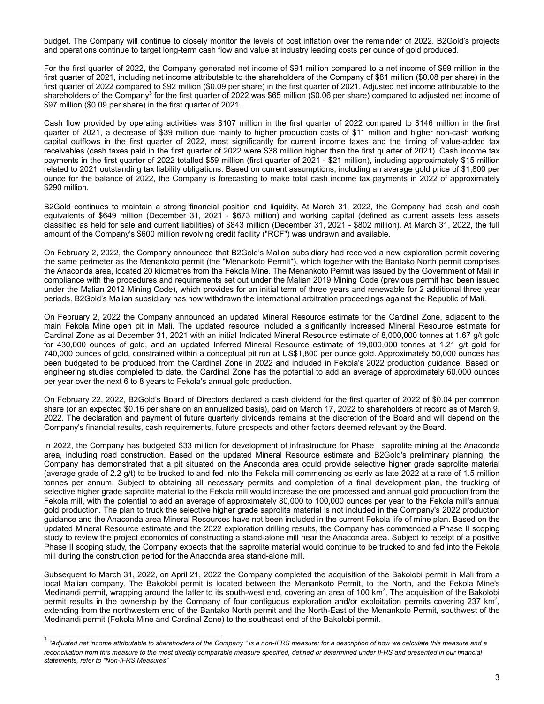budget. The Company will continue to closely monitor the levels of cost inflation over the remainder of 2022. B2Gold's projects and operations continue to target long-term cash flow and value at industry leading costs per ounce of gold produced.

For the first quarter of 2022, the Company generated net income of \$91 million compared to a net income of \$99 million in the first quarter of 2021, including net income attributable to the shareholders of the Company of \$81 million (\$0.08 per share) in the first quarter of 2022 compared to \$92 million (\$0.09 per share) in the first quarter of 2021. Adjusted net income attributable to the shareholders of the Company<sup>3</sup> for the first quarter of 2022 was \$65 million (\$0.06 per share) compared to adjusted net income of \$97 million (\$0.09 per share) in the first quarter of 2021.

Cash flow provided by operating activities was \$107 million in the first quarter of 2022 compared to \$146 million in the first quarter of 2021, a decrease of \$39 million due mainly to higher production costs of \$11 million and higher non-cash working capital outflows in the first quarter of 2022, most significantly for current income taxes and the timing of value-added tax receivables (cash taxes paid in the first quarter of 2022 were \$38 million higher than the first quarter of 2021). Cash income tax payments in the first quarter of 2022 totalled \$59 million (first quarter of 2021 - \$21 million), including approximately \$15 million related to 2021 outstanding tax liability obligations. Based on current assumptions, including an average gold price of \$1,800 per ounce for the balance of 2022, the Company is forecasting to make total cash income tax payments in 2022 of approximately \$290 million.

B2Gold continues to maintain a strong financial position and liquidity. At March 31, 2022, the Company had cash and cash equivalents of \$649 million (December 31, 2021 - \$673 million) and working capital (defined as current assets less assets classified as held for sale and current liabilities) of \$843 million (December 31, 2021 - \$802 million). At March 31, 2022, the full amount of the Company's \$600 million revolving credit facility ("RCF") was undrawn and available.

On February 2, 2022, the Company announced that B2Gold's Malian subsidiary had received a new exploration permit covering the same perimeter as the Menankoto permit (the "Menankoto Permit"), which together with the Bantako North permit comprises the Anaconda area, located 20 kilometres from the Fekola Mine. The Menankoto Permit was issued by the Government of Mali in compliance with the procedures and requirements set out under the Malian 2019 Mining Code (previous permit had been issued under the Malian 2012 Mining Code), which provides for an initial term of three years and renewable for 2 additional three year periods. B2Gold's Malian subsidiary has now withdrawn the international arbitration proceedings against the Republic of Mali.

On February 2, 2022 the Company announced an updated Mineral Resource estimate for the Cardinal Zone, adjacent to the main Fekola Mine open pit in Mali. The updated resource included a significantly increased Mineral Resource estimate for Cardinal Zone as at December 31, 2021 with an initial Indicated Mineral Resource estimate of 8,000,000 tonnes at 1.67 g/t gold for 430,000 ounces of gold, and an updated Inferred Mineral Resource estimate of 19,000,000 tonnes at 1.21 g/t gold for 740,000 ounces of gold, constrained within a conceptual pit run at US\$1,800 per ounce gold. Approximately 50,000 ounces has been budgeted to be produced from the Cardinal Zone in 2022 and included in Fekola's 2022 production guidance. Based on engineering studies completed to date, the Cardinal Zone has the potential to add an average of approximately 60,000 ounces per year over the next 6 to 8 years to Fekola's annual gold production.

On February 22, 2022, B2Gold's Board of Directors declared a cash dividend for the first quarter of 2022 of \$0.04 per common share (or an expected \$0.16 per share on an annualized basis), paid on March 17, 2022 to shareholders of record as of March 9, 2022. The declaration and payment of future quarterly dividends remains at the discretion of the Board and will depend on the Company's financial results, cash requirements, future prospects and other factors deemed relevant by the Board.

In 2022, the Company has budgeted \$33 million for development of infrastructure for Phase I saprolite mining at the Anaconda area, including road construction. Based on the updated Mineral Resource estimate and B2Gold's preliminary planning, the Company has demonstrated that a pit situated on the Anaconda area could provide selective higher grade saprolite material (average grade of 2.2 g/t) to be trucked to and fed into the Fekola mill commencing as early as late 2022 at a rate of 1.5 million tonnes per annum. Subject to obtaining all necessary permits and completion of a final development plan, the trucking of selective higher grade saprolite material to the Fekola mill would increase the ore processed and annual gold production from the Fekola mill, with the potential to add an average of approximately 80,000 to 100,000 ounces per year to the Fekola mill's annual gold production. The plan to truck the selective higher grade saprolite material is not included in the Company's 2022 production guidance and the Anaconda area Mineral Resources have not been included in the current Fekola life of mine plan. Based on the updated Mineral Resource estimate and the 2022 exploration drilling results, the Company has commenced a Phase II scoping study to review the project economics of constructing a stand-alone mill near the Anaconda area. Subject to receipt of a positive Phase II scoping study, the Company expects that the saprolite material would continue to be trucked to and fed into the Fekola mill during the construction period for the Anaconda area stand-alone mill.

Subsequent to March 31, 2022, on April 21, 2022 the Company completed the acquisition of the Bakolobi permit in Mali from a local Malian company. The Bakolobi permit is located between the Menankoto Permit, to the North, and the Fekola Mine's Medinandi permit, wrapping around the latter to its south-west end, covering an area of 100 km<sup>2</sup>. The acquisition of the Bakolobi permit results in the ownership by the Company of four contiguous exploration and/or exploitation permits covering 237 km<sup>2</sup>, extending from the northwestern end of the Bantako North permit and the North-East of the Menankoto Permit, southwest of the Medinandi permit (Fekola Mine and Cardinal Zone) to the southeast end of the Bakolobi permit.

<sup>3</sup> *"Adjusted net income attributable to shareholders of the Company " is a non-IFRS measure; for a description of how we calculate this measure and a*  reconciliation from this measure to the most directly comparable measure specified, defined or determined under IFRS and presented in our financial *statements, refer to "Non-IFRS Measures"*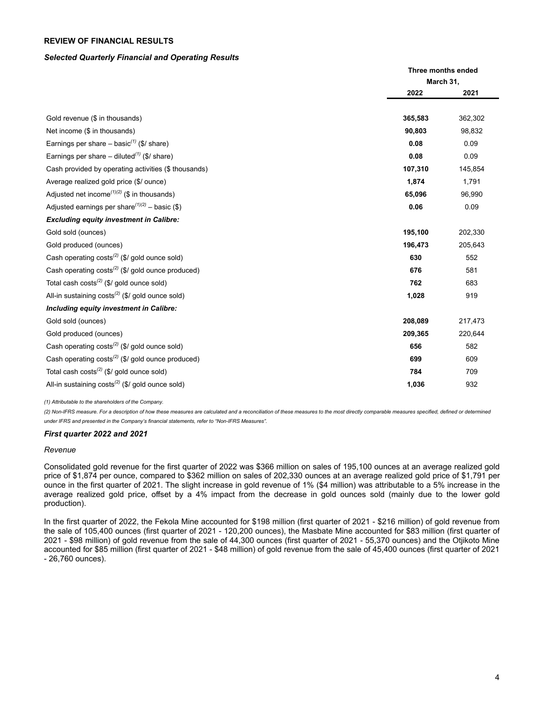# <span id="page-3-0"></span>**REVIEW OF FINANCIAL RESULTS**

#### *Selected Quarterly Financial and Operating Results*

|                                                                        | Three months ended |         |
|------------------------------------------------------------------------|--------------------|---------|
|                                                                        | March 31,          |         |
|                                                                        | 2022               | 2021    |
|                                                                        |                    |         |
| Gold revenue (\$ in thousands)                                         | 365,583            | 362,302 |
| Net income (\$ in thousands)                                           | 90,803             | 98,832  |
| Earnings per share – basic <sup>(1)</sup> (\$/ share)                  | 0.08               | 0.09    |
| Earnings per share – diluted <sup>(1)</sup> (\$/ share)                | 0.08               | 0.09    |
| Cash provided by operating activities (\$ thousands)                   | 107,310            | 145,854 |
| Average realized gold price (\$/ ounce)                                | 1,874              | 1,791   |
| Adjusted net income <sup><math>(1)(2)</math></sup> (\$ in thousands)   | 65,096             | 96,990  |
| Adjusted earnings per share $(1)(2)$ – basic (\$)                      | 0.06               | 0.09    |
| <b>Excluding equity investment in Calibre:</b>                         |                    |         |
| Gold sold (ounces)                                                     | 195,100            | 202,330 |
| Gold produced (ounces)                                                 | 196,473            | 205,643 |
| Cash operating costs <sup>(2)</sup> ( $\frac{1}{2}$ / gold ounce sold) | 630                | 552     |
| Cash operating $costs^{(2)}$ (\$/ gold ounce produced)                 | 676                | 581     |
| Total cash costs <sup>(2)</sup> (\$/ gold ounce sold)                  | 762                | 683     |
| All-in sustaining $costs^{(2)}$ (\$/ gold ounce sold)                  | 1,028              | 919     |
| Including equity investment in Calibre:                                |                    |         |
| Gold sold (ounces)                                                     | 208,089            | 217,473 |
| Gold produced (ounces)                                                 | 209,365            | 220,644 |
| Cash operating costs <sup>(2)</sup> (\$/ gold ounce sold)              | 656                | 582     |
| Cash operating costs <sup>(2)</sup> (\$/ gold ounce produced)          | 699                | 609     |
| Total cash costs <sup>(2)</sup> (\$/ gold ounce sold)                  | 784                | 709     |
| All-in sustaining $costs^{(2)}$ (\$/ gold ounce sold)                  | 1,036              | 932     |
|                                                                        |                    |         |

*(1) Attributable to the shareholders of the Company.*

*(2) Non-IFRS measure. For a description of how these measures are calculated and a reconciliation of these measures to the most directly comparable measures specified, defined or determined under IFRS and presented in the Company's financial statements, refer to "Non-IFRS Measures".*

### *First quarter 2022 and 2021*

#### *Revenue*

Consolidated gold revenue for the first quarter of 2022 was \$366 million on sales of 195,100 ounces at an average realized gold price of \$1,874 per ounce, compared to \$362 million on sales of 202,330 ounces at an average realized gold price of \$1,791 per ounce in the first quarter of 2021. The slight increase in gold revenue of 1% (\$4 million) was attributable to a 5% increase in the average realized gold price, offset by a 4% impact from the decrease in gold ounces sold (mainly due to the lower gold production).

In the first quarter of 2022, the Fekola Mine accounted for \$198 million (first quarter of 2021 - \$216 million) of gold revenue from the sale of 105,400 ounces (first quarter of 2021 - 120,200 ounces), the Masbate Mine accounted for \$83 million (first quarter of 2021 - \$98 million) of gold revenue from the sale of 44,300 ounces (first quarter of 2021 - 55,370 ounces) and the Otjikoto Mine accounted for \$85 million (first quarter of 2021 - \$48 million) of gold revenue from the sale of 45,400 ounces (first quarter of 2021 - 26,760 ounces).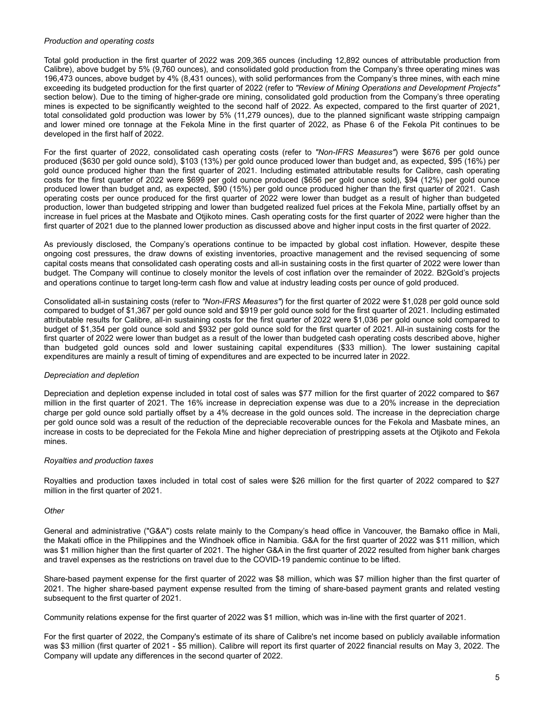#### *Production and operating costs*

Total gold production in the first quarter of 2022 was 209,365 ounces (including 12,892 ounces of attributable production from Calibre), above budget by 5% (9,760 ounces), and consolidated gold production from the Company's three operating mines was 196,473 ounces, above budget by 4% (8,431 ounces), with solid performances from the Company's three mines, with each mine exceeding its budgeted production for the first quarter of 2022 (refer to *"Review of Mining Operations and Development Projects"* section below). Due to the timing of higher-grade ore mining, consolidated gold production from the Company's three operating mines is expected to be significantly weighted to the second half of 2022. As expected, compared to the first quarter of 2021, total consolidated gold production was lower by 5% (11,279 ounces), due to the planned significant waste stripping campaign and lower mined ore tonnage at the Fekola Mine in the first quarter of 2022, as Phase 6 of the Fekola Pit continues to be developed in the first half of 2022.

For the first quarter of 2022, consolidated cash operating costs (refer to *"Non-IFRS Measures"*) were \$676 per gold ounce produced (\$630 per gold ounce sold), \$103 (13%) per gold ounce produced lower than budget and, as expected, \$95 (16%) per gold ounce produced higher than the first quarter of 2021. Including estimated attributable results for Calibre, cash operating costs for the first quarter of 2022 were \$699 per gold ounce produced (\$656 per gold ounce sold), \$94 (12%) per gold ounce produced lower than budget and, as expected, \$90 (15%) per gold ounce produced higher than the first quarter of 2021. Cash operating costs per ounce produced for the first quarter of 2022 were lower than budget as a result of higher than budgeted production, lower than budgeted stripping and lower than budgeted realized fuel prices at the Fekola Mine, partially offset by an increase in fuel prices at the Masbate and Otjikoto mines. Cash operating costs for the first quarter of 2022 were higher than the first quarter of 2021 due to the planned lower production as discussed above and higher input costs in the first quarter of 2022.

As previously disclosed, the Company's operations continue to be impacted by global cost inflation. However, despite these ongoing cost pressures, the draw downs of existing inventories, proactive management and the revised sequencing of some capital costs means that consolidated cash operating costs and all-in sustaining costs in the first quarter of 2022 were lower than budget. The Company will continue to closely monitor the levels of cost inflation over the remainder of 2022. B2Gold's projects and operations continue to target long-term cash flow and value at industry leading costs per ounce of gold produced.

Consolidated all-in sustaining costs (refer to *"Non-IFRS Measures"*) for the first quarter of 2022 were \$1,028 per gold ounce sold compared to budget of \$1,367 per gold ounce sold and \$919 per gold ounce sold for the first quarter of 2021. Including estimated attributable results for Calibre, all-in sustaining costs for the first quarter of 2022 were \$1,036 per gold ounce sold compared to budget of \$1,354 per gold ounce sold and \$932 per gold ounce sold for the first quarter of 2021. All-in sustaining costs for the first quarter of 2022 were lower than budget as a result of the lower than budgeted cash operating costs described above, higher than budgeted gold ounces sold and lower sustaining capital expenditures (\$33 million). The lower sustaining capital expenditures are mainly a result of timing of expenditures and are expected to be incurred later in 2022.

### *Depreciation and depletion*

Depreciation and depletion expense included in total cost of sales was \$77 million for the first quarter of 2022 compared to \$67 million in the first quarter of 2021. The 16% increase in depreciation expense was due to a 20% increase in the depreciation charge per gold ounce sold partially offset by a 4% decrease in the gold ounces sold. The increase in the depreciation charge per gold ounce sold was a result of the reduction of the depreciable recoverable ounces for the Fekola and Masbate mines, an increase in costs to be depreciated for the Fekola Mine and higher depreciation of prestripping assets at the Otjikoto and Fekola mines.

### *Royalties and production taxes*

Royalties and production taxes included in total cost of sales were \$26 million for the first quarter of 2022 compared to \$27 million in the first quarter of 2021.

#### *Other*

General and administrative ("G&A") costs relate mainly to the Company's head office in Vancouver, the Bamako office in Mali, the Makati office in the Philippines and the Windhoek office in Namibia. G&A for the first quarter of 2022 was \$11 million, which was \$1 million higher than the first quarter of 2021. The higher G&A in the first quarter of 2022 resulted from higher bank charges and travel expenses as the restrictions on travel due to the COVID-19 pandemic continue to be lifted.

Share-based payment expense for the first quarter of 2022 was \$8 million, which was \$7 million higher than the first quarter of 2021. The higher share-based payment expense resulted from the timing of share-based payment grants and related vesting subsequent to the first quarter of 2021.

Community relations expense for the first quarter of 2022 was \$1 million, which was in-line with the first quarter of 2021.

For the first quarter of 2022, the Company's estimate of its share of Calibre's net income based on publicly available information was \$3 million (first quarter of 2021 - \$5 million). Calibre will report its first quarter of 2022 financial results on May 3, 2022. The Company will update any differences in the second quarter of 2022.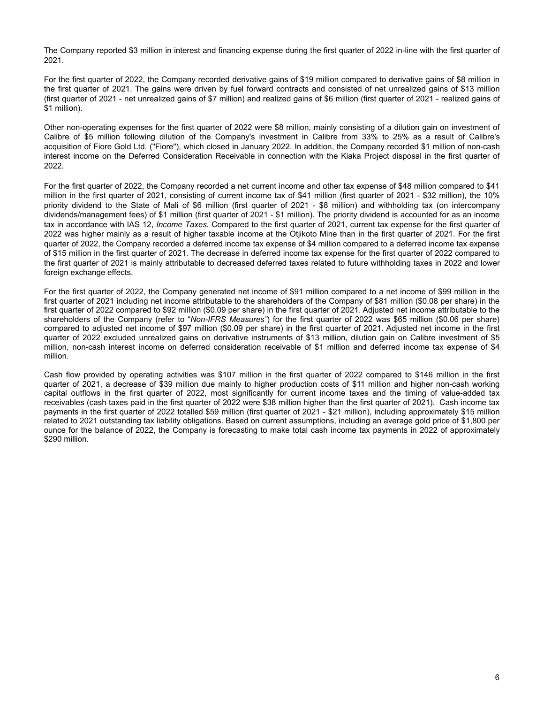The Company reported \$3 million in interest and financing expense during the first quarter of 2022 in-line with the first quarter of 2021.

For the first quarter of 2022, the Company recorded derivative gains of \$19 million compared to derivative gains of \$8 million in the first quarter of 2021. The gains were driven by fuel forward contracts and consisted of net unrealized gains of \$13 million (first quarter of 2021 - net unrealized gains of \$7 million) and realized gains of \$6 million (first quarter of 2021 - realized gains of \$1 million).

Other non-operating expenses for the first quarter of 2022 were \$8 million, mainly consisting of a dilution gain on investment of Calibre of \$5 million following dilution of the Company's investment in Calibre from 33% to 25% as a result of Calibre's acquisition of Fiore Gold Ltd. ("Fiore"), which closed in January 2022. In addition, the Company recorded \$1 million of non-cash interest income on the Deferred Consideration Receivable in connection with the Kiaka Project disposal in the first quarter of 2022.

For the first quarter of 2022, the Company recorded a net current income and other tax expense of \$48 million compared to \$41 million in the first quarter of 2021, consisting of current income tax of \$41 million (first quarter of 2021 - \$32 million), the 10% priority dividend to the State of Mali of \$6 million (first quarter of 2021 - \$8 million) and withholding tax (on intercompany dividends/management fees) of \$1 million (first quarter of 2021 - \$1 million). The priority dividend is accounted for as an income tax in accordance with IAS 12, *Income Taxes.* Compared to the first quarter of 2021, current tax expense for the first quarter of 2022 was higher mainly as a result of higher taxable income at the Otjikoto Mine than in the first quarter of 2021. For the first quarter of 2022, the Company recorded a deferred income tax expense of \$4 million compared to a deferred income tax expense of \$15 million in the first quarter of 2021. The decrease in deferred income tax expense for the first quarter of 2022 compared to the first quarter of 2021 is mainly attributable to decreased deferred taxes related to future withholding taxes in 2022 and lower foreign exchange effects.

For the first quarter of 2022, the Company generated net income of \$91 million compared to a net income of \$99 million in the first quarter of 2021 including net income attributable to the shareholders of the Company of \$81 million (\$0.08 per share) in the first quarter of 2022 compared to \$92 million (\$0.09 per share) in the first quarter of 2021. Adjusted net income attributable to the shareholders of the Company (refer to "*Non-IFRS Measures"*) for the first quarter of 2022 was \$65 million (\$0.06 per share) compared to adjusted net income of \$97 million (\$0.09 per share) in the first quarter of 2021. Adjusted net income in the first quarter of 2022 excluded unrealized gains on derivative instruments of \$13 million, dilution gain on Calibre investment of \$5 million, non-cash interest income on deferred consideration receivable of \$1 million and deferred income tax expense of \$4 million.

Cash flow provided by operating activities was \$107 million in the first quarter of 2022 compared to \$146 million in the first quarter of 2021, a decrease of \$39 million due mainly to higher production costs of \$11 million and higher non-cash working capital outflows in the first quarter of 2022, most significantly for current income taxes and the timing of value-added tax receivables (cash taxes paid in the first quarter of 2022 were \$38 million higher than the first quarter of 2021). Cash income tax payments in the first quarter of 2022 totalled \$59 million (first quarter of 2021 - \$21 million), including approximately \$15 million related to 2021 outstanding tax liability obligations. Based on current assumptions, including an average gold price of \$1,800 per ounce for the balance of 2022, the Company is forecasting to make total cash income tax payments in 2022 of approximately \$290 million.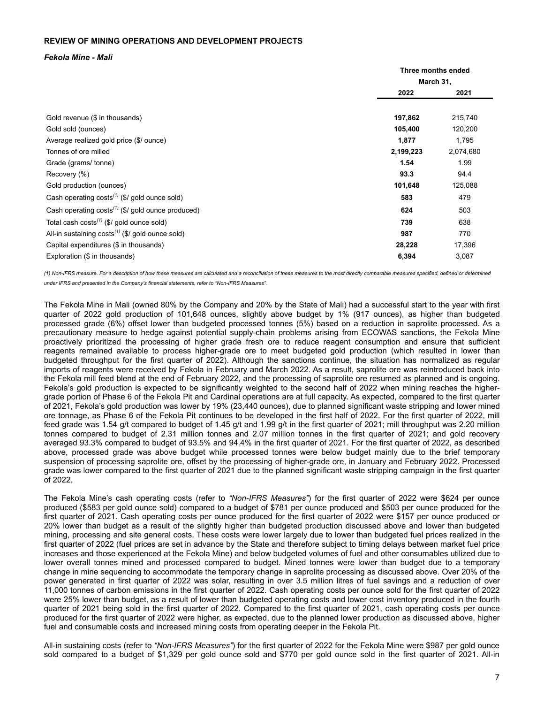#### <span id="page-6-0"></span>**REVIEW OF MINING OPERATIONS AND DEVELOPMENT PROJECTS**

#### *Fekola Mine - Mali*

|                                                               | Three months ended<br>March 31, |           |  |
|---------------------------------------------------------------|---------------------------------|-----------|--|
|                                                               |                                 |           |  |
|                                                               | 2022                            | 2021      |  |
|                                                               |                                 |           |  |
| Gold revenue (\$ in thousands)                                | 197,862                         | 215,740   |  |
| Gold sold (ounces)                                            | 105,400                         | 120,200   |  |
| Average realized gold price (\$/ ounce)                       | 1,877                           | 1,795     |  |
| Tonnes of ore milled                                          | 2,199,223                       | 2,074,680 |  |
| Grade (grams/ tonne)                                          | 1.54                            | 1.99      |  |
| Recovery (%)                                                  | 93.3                            | 94.4      |  |
| Gold production (ounces)                                      | 101,648                         | 125,088   |  |
| Cash operating $costs^{(1)}$ (\$/ gold ounce sold)            | 583                             | 479       |  |
| Cash operating costs <sup>(1)</sup> (\$/ gold ounce produced) | 624                             | 503       |  |
| Total cash costs $(1)$ (\$/ gold ounce sold)                  | 739                             | 638       |  |
| All-in sustaining $costs^{(1)}$ (\$/ gold ounce sold)         | 987                             | 770       |  |
| Capital expenditures (\$ in thousands)                        | 28,228                          | 17,396    |  |
| Exploration (\$ in thousands)                                 | 6,394                           | 3,087     |  |

*(1) Non-IFRS measure. For a description of how these measures are calculated and a reconciliation of these measures to the most directly comparable measures specified, defined or determined under IFRS and presented in the Company's financial statements, refer to "Non-IFRS Measures".*

The Fekola Mine in Mali (owned 80% by the Company and 20% by the State of Mali) had a successful start to the year with first quarter of 2022 gold production of 101,648 ounces, slightly above budget by 1% (917 ounces), as higher than budgeted processed grade (6%) offset lower than budgeted processed tonnes (5%) based on a reduction in saprolite processed. As a precautionary measure to hedge against potential supply-chain problems arising from ECOWAS sanctions, the Fekola Mine proactively prioritized the processing of higher grade fresh ore to reduce reagent consumption and ensure that sufficient reagents remained available to process higher-grade ore to meet budgeted gold production (which resulted in lower than budgeted throughput for the first quarter of 2022). Although the sanctions continue, the situation has normalized as regular imports of reagents were received by Fekola in February and March 2022. As a result, saprolite ore was reintroduced back into the Fekola mill feed blend at the end of February 2022, and the processing of saprolite ore resumed as planned and is ongoing. Fekola's gold production is expected to be significantly weighted to the second half of 2022 when mining reaches the highergrade portion of Phase 6 of the Fekola Pit and Cardinal operations are at full capacity. As expected, compared to the first quarter of 2021, Fekola's gold production was lower by 19% (23,440 ounces), due to planned significant waste stripping and lower mined ore tonnage, as Phase 6 of the Fekola Pit continues to be developed in the first half of 2022. For the first quarter of 2022, mill feed grade was 1.54 g/t compared to budget of 1.45 g/t and 1.99 g/t in the first quarter of 2021; mill throughput was 2.20 million tonnes compared to budget of 2.31 million tonnes and 2.07 million tonnes in the first quarter of 2021; and gold recovery averaged 93.3% compared to budget of 93.5% and 94.4% in the first quarter of 2021. For the first quarter of 2022, as described above, processed grade was above budget while processed tonnes were below budget mainly due to the brief temporary suspension of processing saprolite ore, offset by the processing of higher-grade ore, in January and February 2022. Processed grade was lower compared to the first quarter of 2021 due to the planned significant waste stripping campaign in the first quarter of 2022.

The Fekola Mine's cash operating costs (refer to *"Non-IFRS Measures"*) for the first quarter of 2022 were \$624 per ounce produced (\$583 per gold ounce sold) compared to a budget of \$781 per ounce produced and \$503 per ounce produced for the first quarter of 2021. Cash operating costs per ounce produced for the first quarter of 2022 were \$157 per ounce produced or 20% lower than budget as a result of the slightly higher than budgeted production discussed above and lower than budgeted mining, processing and site general costs. These costs were lower largely due to lower than budgeted fuel prices realized in the first quarter of 2022 (fuel prices are set in advance by the State and therefore subject to timing delays between market fuel price increases and those experienced at the Fekola Mine) and below budgeted volumes of fuel and other consumables utilized due to lower overall tonnes mined and processed compared to budget. Mined tonnes were lower than budget due to a temporary change in mine sequencing to accommodate the temporary change in saprolite processing as discussed above. Over 20% of the power generated in first quarter of 2022 was solar, resulting in over 3.5 million litres of fuel savings and a reduction of over 11,000 tonnes of carbon emissions in the first quarter of 2022. Cash operating costs per ounce sold for the first quarter of 2022 were 25% lower than budget, as a result of lower than budgeted operating costs and lower cost inventory produced in the fourth quarter of 2021 being sold in the first quarter of 2022. Compared to the first quarter of 2021, cash operating costs per ounce produced for the first quarter of 2022 were higher, as expected, due to the planned lower production as discussed above, higher fuel and consumable costs and increased mining costs from operating deeper in the Fekola Pit.

All-in sustaining costs (refer to *"Non-IFRS Measures"*) for the first quarter of 2022 for the Fekola Mine were \$987 per gold ounce sold compared to a budget of \$1,329 per gold ounce sold and \$770 per gold ounce sold in the first quarter of 2021. All-in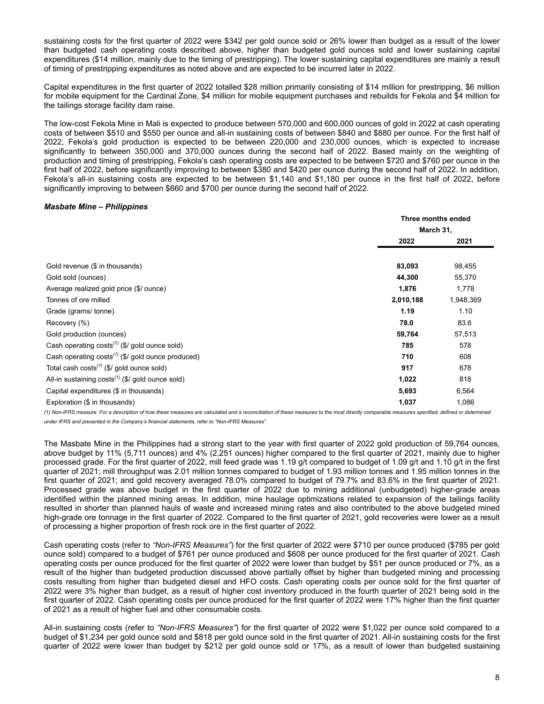sustaining costs for the first quarter of 2022 were \$342 per gold ounce sold or 26% lower than budget as a result of the lower than budgeted cash operating costs described above, higher than budgeted gold ounces sold and lower sustaining capital expenditures (\$14 million, mainly due to the timing of prestripping). The lower sustaining capital expenditures are mainly a result of timing of prestripping expenditures as noted above and are expected to be incurred later in 2022.

Capital expenditures in the first quarter of 2022 totalled \$28 million primarily consisting of \$14 million for prestripping, \$6 million for mobile equipment for the Cardinal Zone, \$4 million for mobile equipment purchases and rebuilds for Fekola and \$4 million for the tailings storage facility dam raise.

The low-cost Fekola Mine in Mali is expected to produce between 570,000 and 600,000 ounces of gold in 2022 at cash operating costs of between \$510 and \$550 per ounce and all-in sustaining costs of between \$840 and \$880 per ounce. For the first half of 2022, Fekola's gold production is expected to be between 220,000 and 230,000 ounces, which is expected to increase significantly to between 350,000 and 370,000 ounces during the second half of 2022. Based mainly on the weighting of production and timing of prestripping, Fekola's cash operating costs are expected to be between \$720 and \$760 per ounce in the first half of 2022, before significantly improving to between \$380 and \$420 per ounce during the second half of 2022. In addition, Fekola's all-in sustaining costs are expected to be between \$1,140 and \$1,180 per ounce in the first half of 2022, before significantly improving to between \$660 and \$700 per ounce during the second half of 2022.

#### *Masbate Mine – Philippines*

|                                                        | Three months ended |           |
|--------------------------------------------------------|--------------------|-----------|
|                                                        | March 31,          |           |
|                                                        | 2022               | 2021      |
|                                                        |                    |           |
| Gold revenue (\$ in thousands)                         | 83,093             | 98,455    |
| Gold sold (ounces)                                     | 44,300             | 55,370    |
| Average realized gold price (\$/ ounce)                | 1,876              | 1,778     |
| Tonnes of ore milled                                   | 2,010,188          | 1,948,369 |
| Grade (grams/ tonne)                                   | 1.19               | 1.10      |
| Recovery (%)                                           | 78.0               | 83.6      |
| Gold production (ounces)                               | 59,764             | 57,513    |
| Cash operating $costs^{(1)}$ (\$/ gold ounce sold)     | 785                | 578       |
| Cash operating $costs^{(1)}$ (\$/ gold ounce produced) | 710                | 608       |
| Total cash costs $(1)$ (\$/ gold ounce sold)           | 917                | 678       |
| All-in sustaining $costs^{(1)}$ (\$/ gold ounce sold)  | 1,022              | 818       |
| Capital expenditures (\$ in thousands)                 | 5,693              | 6,564     |
| Exploration (\$ in thousands)                          | 1,037              | 1,086     |

*(1) Non-IFRS measure. For a description of how these measures are calculated and a reconciliation of these measures to the most directly comparable measures specified, defined or determined* 

*under IFRS and presented in the Company's financial statements, refer to "Non-IFRS Measures".*

The Masbate Mine in the Philippines had a strong start to the year with first quarter of 2022 gold production of 59,764 ounces, above budget by 11% (5,711 ounces) and 4% (2,251 ounces) higher compared to the first quarter of 2021, mainly due to higher processed grade. For the first quarter of 2022, mill feed grade was 1.19 g/t compared to budget of 1.09 g/t and 1.10 g/t in the first quarter of 2021; mill throughput was 2.01 million tonnes compared to budget of 1.93 million tonnes and 1.95 million tonnes in the first quarter of 2021; and gold recovery averaged 78.0% compared to budget of 79.7% and 83.6% in the first quarter of 2021. Processed grade was above budget in the first quarter of 2022 due to mining additional (unbudgeted) higher-grade areas identified within the planned mining areas. In addition, mine haulage optimizations related to expansion of the tailings facility resulted in shorter than planned hauls of waste and increased mining rates and also contributed to the above budgeted mined high-grade ore tonnage in the first quarter of 2022. Compared to the first quarter of 2021, gold recoveries were lower as a result of processing a higher proportion of fresh rock ore in the first quarter of 2022.

Cash operating costs (refer to *"Non-IFRS Measures"*) for the first quarter of 2022 were \$710 per ounce produced (\$785 per gold ounce sold) compared to a budget of \$761 per ounce produced and \$608 per ounce produced for the first quarter of 2021. Cash operating costs per ounce produced for the first quarter of 2022 were lower than budget by \$51 per ounce produced or 7%, as a result of the higher than budgeted production discussed above partially offset by higher than budgeted mining and processing costs resulting from higher than budgeted diesel and HFO costs. Cash operating costs per ounce sold for the first quarter of 2022 were 3% higher than budget, as a result of higher cost inventory produced in the fourth quarter of 2021 being sold in the first quarter of 2022. Cash operating costs per ounce produced for the first quarter of 2022 were 17% higher than the first quarter of 2021 as a result of higher fuel and other consumable costs.

All-in sustaining costs (refer to *"Non-IFRS Measures"*) for the first quarter of 2022 were \$1,022 per ounce sold compared to a budget of \$1,234 per gold ounce sold and \$818 per gold ounce sold in the first quarter of 2021. All-in sustaining costs for the first quarter of 2022 were lower than budget by \$212 per gold ounce sold or 17%, as a result of lower than budgeted sustaining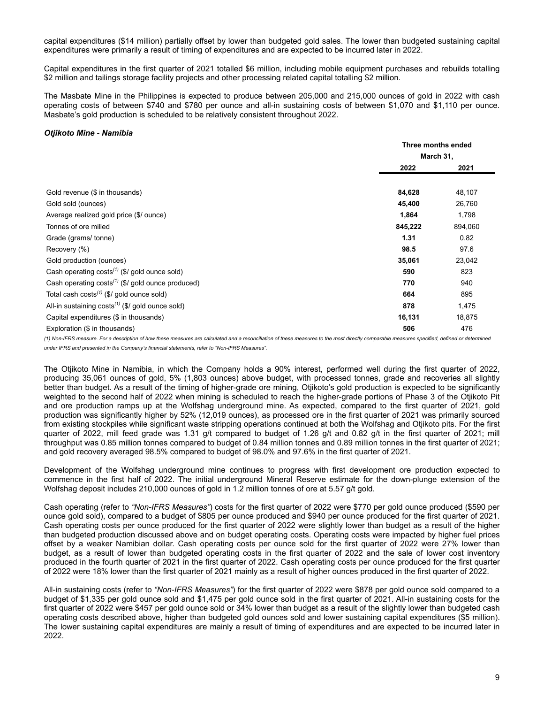capital expenditures (\$14 million) partially offset by lower than budgeted gold sales. The lower than budgeted sustaining capital expenditures were primarily a result of timing of expenditures and are expected to be incurred later in 2022.

Capital expenditures in the first quarter of 2021 totalled \$6 million, including mobile equipment purchases and rebuilds totalling \$2 million and tailings storage facility projects and other processing related capital totalling \$2 million.

The Masbate Mine in the Philippines is expected to produce between 205,000 and 215,000 ounces of gold in 2022 with cash operating costs of between \$740 and \$780 per ounce and all-in sustaining costs of between \$1,070 and \$1,110 per ounce. Masbate's gold production is scheduled to be relatively consistent throughout 2022.

#### *Otjikoto Mine - Namibia*

|                                                                    | Three months ended |         |
|--------------------------------------------------------------------|--------------------|---------|
|                                                                    | March 31,          |         |
|                                                                    | 2022               | 2021    |
|                                                                    |                    |         |
| Gold revenue (\$ in thousands)                                     | 84,628             | 48,107  |
| Gold sold (ounces)                                                 | 45,400             | 26,760  |
| Average realized gold price (\$/ ounce)                            | 1,864              | 1,798   |
| Tonnes of ore milled                                               | 845,222            | 894,060 |
| Grade (grams/ tonne)                                               | 1.31               | 0.82    |
| Recovery (%)                                                       | 98.5               | 97.6    |
| Gold production (ounces)                                           | 35,061             | 23,042  |
| Cash operating $costs^{(1)}$ (\$/ gold ounce sold)                 | 590                | 823     |
| Cash operating $costs^{(1)}$ (\$/ gold ounce produced)             | 770                | 940     |
| Total cash costs <sup><math>(1)</math></sup> (\$/ gold ounce sold) | 664                | 895     |
| All-in sustaining $costs^{(1)}$ (\$/ gold ounce sold)              | 878                | 1,475   |
| Capital expenditures (\$ in thousands)                             | 16,131             | 18,875  |
| Exploration (\$ in thousands)                                      | 506                | 476     |

*(1) Non-IFRS measure. For a description of how these measures are calculated and a reconciliation of these measures to the most directly comparable measures specified, defined or determined* 

*under IFRS and presented in the Company's financial statements, refer to "Non-IFRS Measures".*

The Otjikoto Mine in Namibia, in which the Company holds a 90% interest, performed well during the first quarter of 2022, producing 35,061 ounces of gold, 5% (1,803 ounces) above budget, with processed tonnes, grade and recoveries all slightly better than budget. As a result of the timing of higher-grade ore mining, Otjikoto's gold production is expected to be significantly weighted to the second half of 2022 when mining is scheduled to reach the higher-grade portions of Phase 3 of the Otjikoto Pit and ore production ramps up at the Wolfshag underground mine. As expected, compared to the first quarter of 2021, gold production was significantly higher by 52% (12,019 ounces), as processed ore in the first quarter of 2021 was primarily sourced from existing stockpiles while significant waste stripping operations continued at both the Wolfshag and Otjikoto pits. For the first quarter of 2022, mill feed grade was 1.31 g/t compared to budget of 1.26 g/t and 0.82 g/t in the first quarter of 2021; mill throughput was 0.85 million tonnes compared to budget of 0.84 million tonnes and 0.89 million tonnes in the first quarter of 2021; and gold recovery averaged 98.5% compared to budget of 98.0% and 97.6% in the first quarter of 2021.

Development of the Wolfshag underground mine continues to progress with first development ore production expected to commence in the first half of 2022. The initial underground Mineral Reserve estimate for the down-plunge extension of the Wolfshag deposit includes 210,000 ounces of gold in 1.2 million tonnes of ore at 5.57 g/t gold.

Cash operating (refer to *"Non-IFRS Measures"*) costs for the first quarter of 2022 were \$770 per gold ounce produced (\$590 per ounce gold sold), compared to a budget of \$805 per ounce produced and \$940 per ounce produced for the first quarter of 2021. Cash operating costs per ounce produced for the first quarter of 2022 were slightly lower than budget as a result of the higher than budgeted production discussed above and on budget operating costs. Operating costs were impacted by higher fuel prices offset by a weaker Namibian dollar. Cash operating costs per ounce sold for the first quarter of 2022 were 27% lower than budget, as a result of lower than budgeted operating costs in the first quarter of 2022 and the sale of lower cost inventory produced in the fourth quarter of 2021 in the first quarter of 2022. Cash operating costs per ounce produced for the first quarter of 2022 were 18% lower than the first quarter of 2021 mainly as a result of higher ounces produced in the first quarter of 2022.

All-in sustaining costs (refer to *"Non-IFRS Measures"*) for the first quarter of 2022 were \$878 per gold ounce sold compared to a budget of \$1,335 per gold ounce sold and \$1,475 per gold ounce sold in the first quarter of 2021. All-in sustaining costs for the first quarter of 2022 were \$457 per gold ounce sold or 34% lower than budget as a result of the slightly lower than budgeted cash operating costs described above, higher than budgeted gold ounces sold and lower sustaining capital expenditures (\$5 million). The lower sustaining capital expenditures are mainly a result of timing of expenditures and are expected to be incurred later in 2022.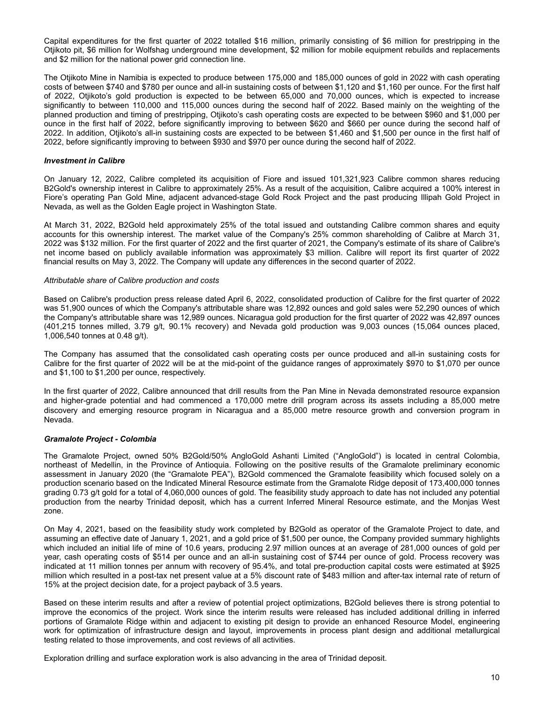Capital expenditures for the first quarter of 2022 totalled \$16 million, primarily consisting of \$6 million for prestripping in the Otjikoto pit, \$6 million for Wolfshag underground mine development, \$2 million for mobile equipment rebuilds and replacements and \$2 million for the national power grid connection line.

The Otjikoto Mine in Namibia is expected to produce between 175,000 and 185,000 ounces of gold in 2022 with cash operating costs of between \$740 and \$780 per ounce and all-in sustaining costs of between \$1,120 and \$1,160 per ounce. For the first half of 2022, Otjikoto's gold production is expected to be between 65,000 and 70,000 ounces, which is expected to increase significantly to between 110,000 and 115,000 ounces during the second half of 2022. Based mainly on the weighting of the planned production and timing of prestripping, Otjikoto's cash operating costs are expected to be between \$960 and \$1,000 per ounce in the first half of 2022, before significantly improving to between \$620 and \$660 per ounce during the second half of 2022. In addition, Otjikoto's all-in sustaining costs are expected to be between \$1,460 and \$1,500 per ounce in the first half of 2022, before significantly improving to between \$930 and \$970 per ounce during the second half of 2022.

#### *Investment in Calibre*

On January 12, 2022, Calibre completed its acquisition of Fiore and issued 101,321,923 Calibre common shares reducing B2Gold's ownership interest in Calibre to approximately 25%. As a result of the acquisition, Calibre acquired a 100% interest in Fiore's operating Pan Gold Mine, adjacent advanced-stage Gold Rock Project and the past producing Illipah Gold Project in Nevada, as well as the Golden Eagle project in Washington State.

At March 31, 2022, B2Gold held approximately 25% of the total issued and outstanding Calibre common shares and equity accounts for this ownership interest. The market value of the Company's 25% common shareholding of Calibre at March 31, 2022 was \$132 million. For the first quarter of 2022 and the first quarter of 2021, the Company's estimate of its share of Calibre's net income based on publicly available information was approximately \$3 million. Calibre will report its first quarter of 2022 financial results on May 3, 2022. The Company will update any differences in the second quarter of 2022.

#### *Attributable share of Calibre production and costs*

Based on Calibre's production press release dated April 6, 2022, consolidated production of Calibre for the first quarter of 2022 was 51,900 ounces of which the Company's attributable share was 12,892 ounces and gold sales were 52,290 ounces of which the Company's attributable share was 12,989 ounces. Nicaragua gold production for the first quarter of 2022 was 42,897 ounces (401,215 tonnes milled, 3.79 g/t, 90.1% recovery) and Nevada gold production was 9,003 ounces (15,064 ounces placed, 1,006,540 tonnes at 0.48 g/t).

The Company has assumed that the consolidated cash operating costs per ounce produced and all-in sustaining costs for Calibre for the first quarter of 2022 will be at the mid-point of the guidance ranges of approximately \$970 to \$1,070 per ounce and \$1,100 to \$1,200 per ounce, respectively.

In the first quarter of 2022, Calibre announced that drill results from the Pan Mine in Nevada demonstrated resource expansion and higher-grade potential and had commenced a 170,000 metre drill program across its assets including a 85,000 metre discovery and emerging resource program in Nicaragua and a 85,000 metre resource growth and conversion program in Nevada.

### *Gramalote Project - Colombia*

The Gramalote Project, owned 50% B2Gold/50% AngloGold Ashanti Limited ("AngloGold") is located in central Colombia, northeast of Medellin, in the Province of Antioquia. Following on the positive results of the Gramalote preliminary economic assessment in January 2020 (the "Gramalote PEA"), B2Gold commenced the Gramalote feasibility which focused solely on a production scenario based on the Indicated Mineral Resource estimate from the Gramalote Ridge deposit of 173,400,000 tonnes grading 0.73 g/t gold for a total of 4,060,000 ounces of gold. The feasibility study approach to date has not included any potential production from the nearby Trinidad deposit, which has a current Inferred Mineral Resource estimate, and the Monjas West zone.

On May 4, 2021, based on the feasibility study work completed by B2Gold as operator of the Gramalote Project to date, and assuming an effective date of January 1, 2021, and a gold price of \$1,500 per ounce, the Company provided summary highlights which included an initial life of mine of 10.6 years, producing 2.97 million ounces at an average of 281,000 ounces of gold per year, cash operating costs of \$514 per ounce and an all-in sustaining cost of \$744 per ounce of gold. Process recovery was indicated at 11 million tonnes per annum with recovery of 95.4%, and total pre-production capital costs were estimated at \$925 million which resulted in a post-tax net present value at a 5% discount rate of \$483 million and after-tax internal rate of return of 15% at the project decision date, for a project payback of 3.5 years.

Based on these interim results and after a review of potential project optimizations, B2Gold believes there is strong potential to improve the economics of the project. Work since the interim results were released has included additional drilling in inferred portions of Gramalote Ridge within and adjacent to existing pit design to provide an enhanced Resource Model, engineering work for optimization of infrastructure design and layout, improvements in process plant design and additional metallurgical testing related to those improvements, and cost reviews of all activities.

Exploration drilling and surface exploration work is also advancing in the area of Trinidad deposit.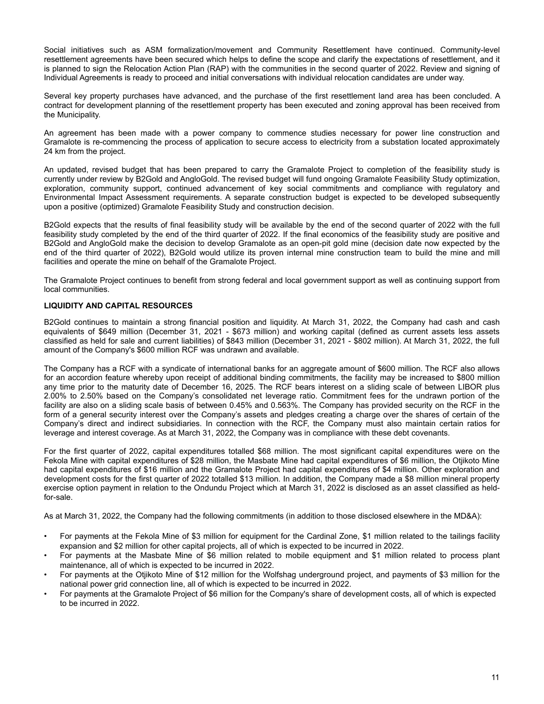<span id="page-10-0"></span>Social initiatives such as ASM formalization/movement and Community Resettlement have continued. Community-level resettlement agreements have been secured which helps to define the scope and clarify the expectations of resettlement, and it is planned to sign the Relocation Action Plan (RAP) with the communities in the second quarter of 2022. Review and signing of Individual Agreements is ready to proceed and initial conversations with individual relocation candidates are under way.

Several key property purchases have advanced, and the purchase of the first resettlement land area has been concluded. A contract for development planning of the resettlement property has been executed and zoning approval has been received from the Municipality.

An agreement has been made with a power company to commence studies necessary for power line construction and Gramalote is re-commencing the process of application to secure access to electricity from a substation located approximately 24 km from the project.

An updated, revised budget that has been prepared to carry the Gramalote Project to completion of the feasibility study is currently under review by B2Gold and AngloGold. The revised budget will fund ongoing Gramalote Feasibility Study optimization, exploration, community support, continued advancement of key social commitments and compliance with regulatory and Environmental Impact Assessment requirements. A separate construction budget is expected to be developed subsequently upon a positive (optimized) Gramalote Feasibility Study and construction decision.

B2Gold expects that the results of final feasibility study will be available by the end of the second quarter of 2022 with the full feasibility study completed by the end of the third quarter of 2022. If the final economics of the feasibility study are positive and B2Gold and AngloGold make the decision to develop Gramalote as an open-pit gold mine (decision date now expected by the end of the third quarter of 2022), B2Gold would utilize its proven internal mine construction team to build the mine and mill facilities and operate the mine on behalf of the Gramalote Project.

The Gramalote Project continues to benefit from strong federal and local government support as well as continuing support from local communities.

# **LIQUIDITY AND CAPITAL RESOURCES**

B2Gold continues to maintain a strong financial position and liquidity. At March 31, 2022, the Company had cash and cash equivalents of \$649 million (December 31, 2021 - \$673 million) and working capital (defined as current assets less assets classified as held for sale and current liabilities) of \$843 million (December 31, 2021 - \$802 million). At March 31, 2022, the full amount of the Company's \$600 million RCF was undrawn and available.

The Company has a RCF with a syndicate of international banks for an aggregate amount of \$600 million. The RCF also allows for an accordion feature whereby upon receipt of additional binding commitments, the facility may be increased to \$800 million any time prior to the maturity date of December 16, 2025. The RCF bears interest on a sliding scale of between LIBOR plus 2.00% to 2.50% based on the Company's consolidated net leverage ratio. Commitment fees for the undrawn portion of the facility are also on a sliding scale basis of between 0.45% and 0.563%. The Company has provided security on the RCF in the form of a general security interest over the Company's assets and pledges creating a charge over the shares of certain of the Company's direct and indirect subsidiaries. In connection with the RCF, the Company must also maintain certain ratios for leverage and interest coverage. As at March 31, 2022, the Company was in compliance with these debt covenants.

For the first quarter of 2022, capital expenditures totalled \$68 million. The most significant capital expenditures were on the Fekola Mine with capital expenditures of \$28 million, the Masbate Mine had capital expenditures of \$6 million, the Otjikoto Mine had capital expenditures of \$16 million and the Gramalote Project had capital expenditures of \$4 million. Other exploration and development costs for the first quarter of 2022 totalled \$13 million. In addition, the Company made a \$8 million mineral property exercise option payment in relation to the Ondundu Project which at March 31, 2022 is disclosed as an asset classified as heldfor-sale.

As at March 31, 2022, the Company had the following commitments (in addition to those disclosed elsewhere in the MD&A):

- For payments at the Fekola Mine of \$3 million for equipment for the Cardinal Zone, \$1 million related to the tailings facility expansion and \$2 million for other capital projects, all of which is expected to be incurred in 2022.
- For payments at the Masbate Mine of \$6 million related to mobile equipment and \$1 million related to process plant maintenance, all of which is expected to be incurred in 2022.
- For payments at the Otjikoto Mine of \$12 million for the Wolfshag underground project, and payments of \$3 million for the national power grid connection line, all of which is expected to be incurred in 2022.
- For payments at the Gramalote Project of \$6 million for the Company's share of development costs, all of which is expected to be incurred in 2022.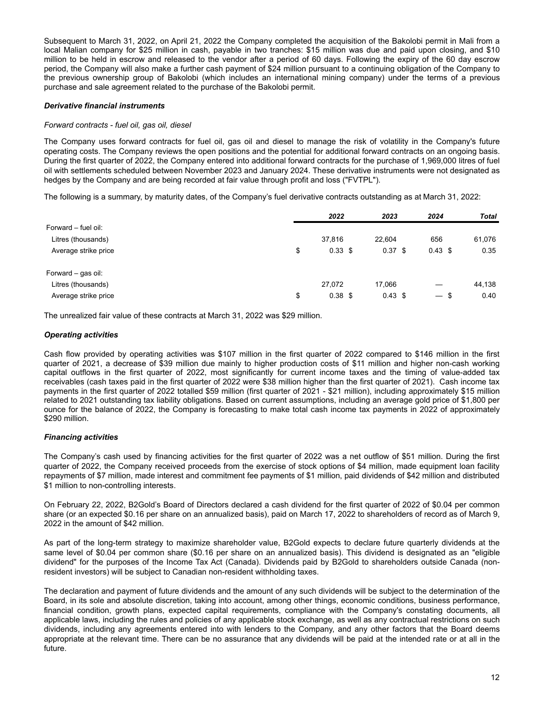Subsequent to March 31, 2022, on April 21, 2022 the Company completed the acquisition of the Bakolobi permit in Mali from a local Malian company for \$25 million in cash, payable in two tranches: \$15 million was due and paid upon closing, and \$10 million to be held in escrow and released to the vendor after a period of 60 days. Following the expiry of the 60 day escrow period, the Company will also make a further cash payment of \$24 million pursuant to a continuing obligation of the Company to the previous ownership group of Bakolobi (which includes an international mining company) under the terms of a previous purchase and sale agreement related to the purchase of the Bakolobi permit.

## *Derivative financial instruments*

### *Forward contracts - fuel oil, gas oil, diesel*

The Company uses forward contracts for fuel oil, gas oil and diesel to manage the risk of volatility in the Company's future operating costs. The Company reviews the open positions and the potential for additional forward contracts on an ongoing basis. During the first quarter of 2022, the Company entered into additional forward contracts for the purchase of 1,969,000 litres of fuel oil with settlements scheduled between November 2023 and January 2024. These derivative instruments were not designated as hedges by the Company and are being recorded at fair value through profit and loss ("FVTPL").

The following is a summary, by maturity dates, of the Company's fuel derivative contracts outstanding as at March 31, 2022:

|                      | 2022                    | 2023      | 2024    | <b>Total</b> |
|----------------------|-------------------------|-----------|---------|--------------|
| Forward – fuel oil:  |                         |           |         |              |
| Litres (thousands)   | 37,816                  | 22.604    | 656     | 61,076       |
| Average strike price | \$<br>$0.33 \text{ } $$ | $0.37$ \$ | 0.43~\$ | 0.35         |
| Forward – gas oil:   |                         |           |         |              |
| Litres (thousands)   | 27,072                  | 17,066    |         | 44,138       |
| Average strike price | \$<br>$0.38$ \$         | 0.43~\$   | $-$ \$  | 0.40         |

The unrealized fair value of these contracts at March 31, 2022 was \$29 million.

# *Operating activities*

Cash flow provided by operating activities was \$107 million in the first quarter of 2022 compared to \$146 million in the first quarter of 2021, a decrease of \$39 million due mainly to higher production costs of \$11 million and higher non-cash working capital outflows in the first quarter of 2022, most significantly for current income taxes and the timing of value-added tax receivables (cash taxes paid in the first quarter of 2022 were \$38 million higher than the first quarter of 2021). Cash income tax payments in the first quarter of 2022 totalled \$59 million (first quarter of 2021 - \$21 million), including approximately \$15 million related to 2021 outstanding tax liability obligations. Based on current assumptions, including an average gold price of \$1,800 per ounce for the balance of 2022, the Company is forecasting to make total cash income tax payments in 2022 of approximately \$290 million.

### *Financing activities*

The Company's cash used by financing activities for the first quarter of 2022 was a net outflow of \$51 million. During the first quarter of 2022, the Company received proceeds from the exercise of stock options of \$4 million, made equipment loan facility repayments of \$7 million, made interest and commitment fee payments of \$1 million, paid dividends of \$42 million and distributed \$1 million to non-controlling interests.

On February 22, 2022, B2Gold's Board of Directors declared a cash dividend for the first quarter of 2022 of \$0.04 per common share (or an expected \$0.16 per share on an annualized basis), paid on March 17, 2022 to shareholders of record as of March 9, 2022 in the amount of \$42 million.

As part of the long-term strategy to maximize shareholder value, B2Gold expects to declare future quarterly dividends at the same level of \$0.04 per common share (\$0.16 per share on an annualized basis). This dividend is designated as an "eligible dividend" for the purposes of the Income Tax Act (Canada). Dividends paid by B2Gold to shareholders outside Canada (nonresident investors) will be subject to Canadian non-resident withholding taxes.

The declaration and payment of future dividends and the amount of any such dividends will be subject to the determination of the Board, in its sole and absolute discretion, taking into account, among other things, economic conditions, business performance, financial condition, growth plans, expected capital requirements, compliance with the Company's constating documents, all applicable laws, including the rules and policies of any applicable stock exchange, as well as any contractual restrictions on such dividends, including any agreements entered into with lenders to the Company, and any other factors that the Board deems appropriate at the relevant time. There can be no assurance that any dividends will be paid at the intended rate or at all in the future.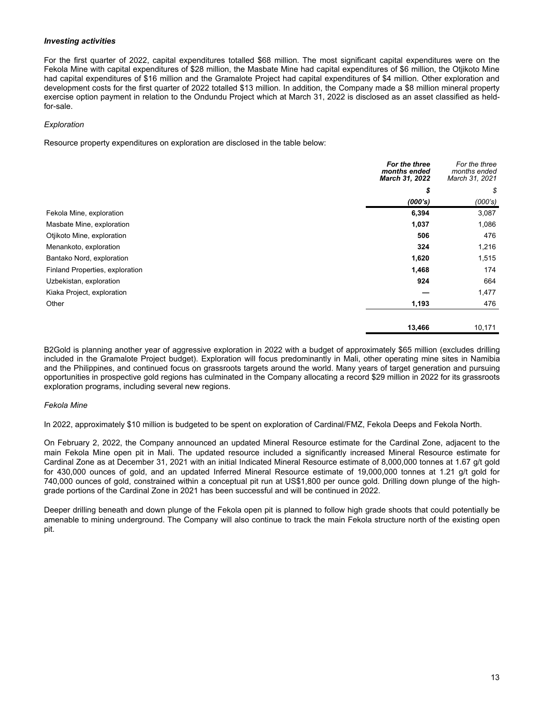### *Investing activities*

For the first quarter of 2022, capital expenditures totalled \$68 million. The most significant capital expenditures were on the Fekola Mine with capital expenditures of \$28 million, the Masbate Mine had capital expenditures of \$6 million, the Otjikoto Mine had capital expenditures of \$16 million and the Gramalote Project had capital expenditures of \$4 million. Other exploration and development costs for the first quarter of 2022 totalled \$13 million. In addition, the Company made a \$8 million mineral property exercise option payment in relation to the Ondundu Project which at March 31, 2022 is disclosed as an asset classified as heldfor-sale.

#### *Exploration*

Resource property expenditures on exploration are disclosed in the table below:

|                                 | For the three<br>months ended<br>March 31, 2022 | For the three<br>months ended<br>March 31, 2021 |
|---------------------------------|-------------------------------------------------|-------------------------------------------------|
|                                 | \$                                              | \$                                              |
|                                 | (000's)                                         | (000's)                                         |
| Fekola Mine, exploration        | 6,394                                           | 3,087                                           |
| Masbate Mine, exploration       | 1,037                                           | 1,086                                           |
| Otjikoto Mine, exploration      | 506                                             | 476                                             |
| Menankoto, exploration          | 324                                             | 1,216                                           |
| Bantako Nord, exploration       | 1,620                                           | 1,515                                           |
| Finland Properties, exploration | 1,468                                           | 174                                             |
| Uzbekistan, exploration         | 924                                             | 664                                             |
| Kiaka Project, exploration      |                                                 | 1,477                                           |
| Other                           | 1,193                                           | 476                                             |
|                                 | 13,466                                          | 10,171                                          |

B2Gold is planning another year of aggressive exploration in 2022 with a budget of approximately \$65 million (excludes drilling included in the Gramalote Project budget). Exploration will focus predominantly in Mali, other operating mine sites in Namibia and the Philippines, and continued focus on grassroots targets around the world. Many years of target generation and pursuing opportunities in prospective gold regions has culminated in the Company allocating a record \$29 million in 2022 for its grassroots exploration programs, including several new regions.

#### *Fekola Mine*

In 2022, approximately \$10 million is budgeted to be spent on exploration of Cardinal/FMZ, Fekola Deeps and Fekola North.

On February 2, 2022, the Company announced an updated Mineral Resource estimate for the Cardinal Zone, adjacent to the main Fekola Mine open pit in Mali. The updated resource included a significantly increased Mineral Resource estimate for Cardinal Zone as at December 31, 2021 with an initial Indicated Mineral Resource estimate of 8,000,000 tonnes at 1.67 g/t gold for 430,000 ounces of gold, and an updated Inferred Mineral Resource estimate of 19,000,000 tonnes at 1.21 g/t gold for 740,000 ounces of gold, constrained within a conceptual pit run at US\$1,800 per ounce gold. Drilling down plunge of the highgrade portions of the Cardinal Zone in 2021 has been successful and will be continued in 2022.

Deeper drilling beneath and down plunge of the Fekola open pit is planned to follow high grade shoots that could potentially be amenable to mining underground. The Company will also continue to track the main Fekola structure north of the existing open pit.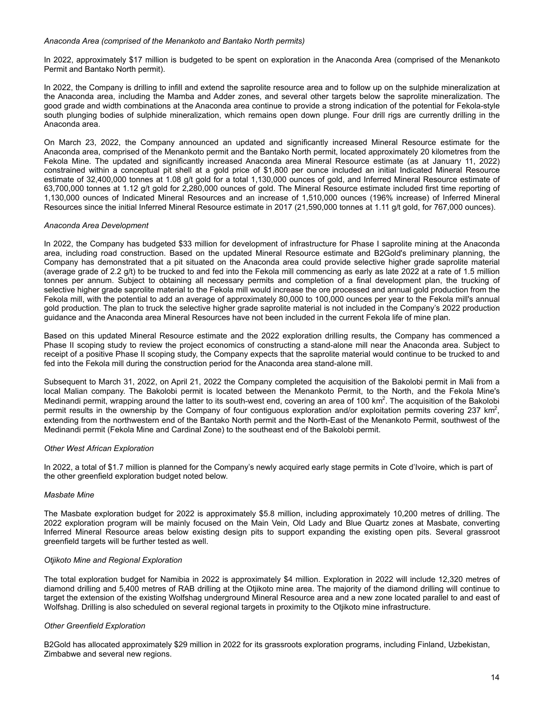#### *Anaconda Area (comprised of the Menankoto and Bantako North permits)*

In 2022, approximately \$17 million is budgeted to be spent on exploration in the Anaconda Area (comprised of the Menankoto Permit and Bantako North permit).

In 2022, the Company is drilling to infill and extend the saprolite resource area and to follow up on the sulphide mineralization at the Anaconda area, including the Mamba and Adder zones, and several other targets below the saprolite mineralization. The good grade and width combinations at the Anaconda area continue to provide a strong indication of the potential for Fekola-style south plunging bodies of sulphide mineralization, which remains open down plunge. Four drill rigs are currently drilling in the Anaconda area.

On March 23, 2022, the Company announced an updated and significantly increased Mineral Resource estimate for the Anaconda area, comprised of the Menankoto permit and the Bantako North permit, located approximately 20 kilometres from the Fekola Mine. The updated and significantly increased Anaconda area Mineral Resource estimate (as at January 11, 2022) constrained within a conceptual pit shell at a gold price of \$1,800 per ounce included an initial Indicated Mineral Resource estimate of 32,400,000 tonnes at 1.08 g/t gold for a total 1,130,000 ounces of gold, and Inferred Mineral Resource estimate of 63,700,000 tonnes at 1.12 g/t gold for 2,280,000 ounces of gold. The Mineral Resource estimate included first time reporting of 1,130,000 ounces of Indicated Mineral Resources and an increase of 1,510,000 ounces (196% increase) of Inferred Mineral Resources since the initial Inferred Mineral Resource estimate in 2017 (21,590,000 tonnes at 1.11 g/t gold, for 767,000 ounces).

### *Anaconda Area Development*

In 2022, the Company has budgeted \$33 million for development of infrastructure for Phase I saprolite mining at the Anaconda area, including road construction. Based on the updated Mineral Resource estimate and B2Gold's preliminary planning, the Company has demonstrated that a pit situated on the Anaconda area could provide selective higher grade saprolite material (average grade of 2.2 g/t) to be trucked to and fed into the Fekola mill commencing as early as late 2022 at a rate of 1.5 million tonnes per annum. Subject to obtaining all necessary permits and completion of a final development plan, the trucking of selective higher grade saprolite material to the Fekola mill would increase the ore processed and annual gold production from the Fekola mill, with the potential to add an average of approximately 80,000 to 100,000 ounces per year to the Fekola mill's annual gold production. The plan to truck the selective higher grade saprolite material is not included in the Company's 2022 production guidance and the Anaconda area Mineral Resources have not been included in the current Fekola life of mine plan.

Based on this updated Mineral Resource estimate and the 2022 exploration drilling results, the Company has commenced a Phase II scoping study to review the project economics of constructing a stand-alone mill near the Anaconda area. Subject to receipt of a positive Phase II scoping study, the Company expects that the saprolite material would continue to be trucked to and fed into the Fekola mill during the construction period for the Anaconda area stand-alone mill.

Subsequent to March 31, 2022, on April 21, 2022 the Company completed the acquisition of the Bakolobi permit in Mali from a local Malian company. The Bakolobi permit is located between the Menankoto Permit, to the North, and the Fekola Mine's Medinandi permit, wrapping around the latter to its south-west end, covering an area of 100 km<sup>2</sup>. The acquisition of the Bakolobi permit results in the ownership by the Company of four contiguous exploration and/or exploitation permits covering 237 km<sup>2</sup>, extending from the northwestern end of the Bantako North permit and the North-East of the Menankoto Permit, southwest of the Medinandi permit (Fekola Mine and Cardinal Zone) to the southeast end of the Bakolobi permit.

### *Other West African Exploration*

In 2022, a total of \$1.7 million is planned for the Company's newly acquired early stage permits in Cote d'Ivoire, which is part of the other greenfield exploration budget noted below.

### *Masbate Mine*

The Masbate exploration budget for 2022 is approximately \$5.8 million, including approximately 10,200 metres of drilling. The 2022 exploration program will be mainly focused on the Main Vein, Old Lady and Blue Quartz zones at Masbate, converting Inferred Mineral Resource areas below existing design pits to support expanding the existing open pits. Several grassroot greenfield targets will be further tested as well.

### *Otjikoto Mine and Regional Exploration*

The total exploration budget for Namibia in 2022 is approximately \$4 million. Exploration in 2022 will include 12,320 metres of diamond drilling and 5,400 metres of RAB drilling at the Otjikoto mine area. The majority of the diamond drilling will continue to target the extension of the existing Wolfshag underground Mineral Resource area and a new zone located parallel to and east of Wolfshag. Drilling is also scheduled on several regional targets in proximity to the Otjikoto mine infrastructure.

### *Other Greenfield Exploration*

B2Gold has allocated approximately \$29 million in 2022 for its grassroots exploration programs, including Finland, Uzbekistan, Zimbabwe and several new regions.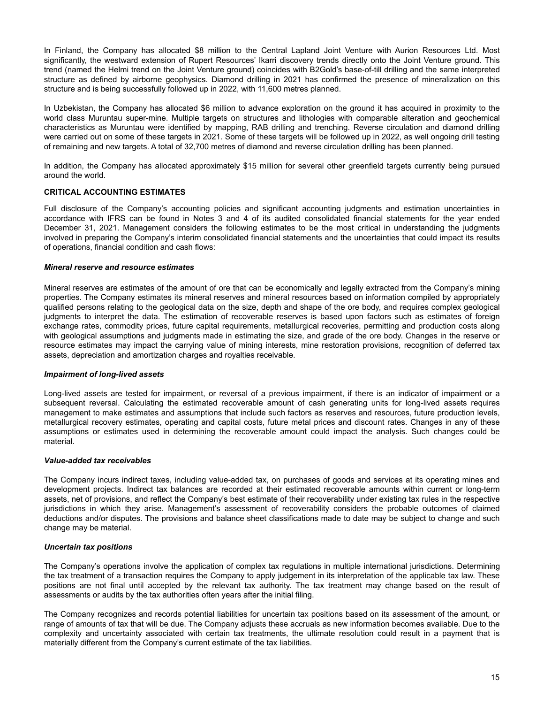<span id="page-14-0"></span>In Finland, the Company has allocated \$8 million to the Central Lapland Joint Venture with Aurion Resources Ltd. Most significantly, the westward extension of Rupert Resources' Ikarri discovery trends directly onto the Joint Venture ground. This trend (named the Helmi trend on the Joint Venture ground) coincides with B2Gold's base-of-till drilling and the same interpreted structure as defined by airborne geophysics. Diamond drilling in 2021 has confirmed the presence of mineralization on this structure and is being successfully followed up in 2022, with 11,600 metres planned.

In Uzbekistan, the Company has allocated \$6 million to advance exploration on the ground it has acquired in proximity to the world class Muruntau super-mine. Multiple targets on structures and lithologies with comparable alteration and geochemical characteristics as Muruntau were identified by mapping, RAB drilling and trenching. Reverse circulation and diamond drilling were carried out on some of these targets in 2021. Some of these targets will be followed up in 2022, as well ongoing drill testing of remaining and new targets. A total of 32,700 metres of diamond and reverse circulation drilling has been planned.

In addition, the Company has allocated approximately \$15 million for several other greenfield targets currently being pursued around the world.

# **CRITICAL ACCOUNTING ESTIMATES**

Full disclosure of the Company's accounting policies and significant accounting judgments and estimation uncertainties in accordance with IFRS can be found in Notes 3 and 4 of its audited consolidated financial statements for the year ended December 31, 2021. Management considers the following estimates to be the most critical in understanding the judgments involved in preparing the Company's interim consolidated financial statements and the uncertainties that could impact its results of operations, financial condition and cash flows:

#### *Mineral reserve and resource estimates*

Mineral reserves are estimates of the amount of ore that can be economically and legally extracted from the Company's mining properties. The Company estimates its mineral reserves and mineral resources based on information compiled by appropriately qualified persons relating to the geological data on the size, depth and shape of the ore body, and requires complex geological judgments to interpret the data. The estimation of recoverable reserves is based upon factors such as estimates of foreign exchange rates, commodity prices, future capital requirements, metallurgical recoveries, permitting and production costs along with geological assumptions and judgments made in estimating the size, and grade of the ore body. Changes in the reserve or resource estimates may impact the carrying value of mining interests, mine restoration provisions, recognition of deferred tax assets, depreciation and amortization charges and royalties receivable.

### *Impairment of long-lived assets*

Long-lived assets are tested for impairment, or reversal of a previous impairment, if there is an indicator of impairment or a subsequent reversal. Calculating the estimated recoverable amount of cash generating units for long-lived assets requires management to make estimates and assumptions that include such factors as reserves and resources, future production levels, metallurgical recovery estimates, operating and capital costs, future metal prices and discount rates. Changes in any of these assumptions or estimates used in determining the recoverable amount could impact the analysis. Such changes could be material.

### *Value-added tax receivables*

The Company incurs indirect taxes, including value-added tax, on purchases of goods and services at its operating mines and development projects. Indirect tax balances are recorded at their estimated recoverable amounts within current or long-term assets, net of provisions, and reflect the Company's best estimate of their recoverability under existing tax rules in the respective jurisdictions in which they arise. Management's assessment of recoverability considers the probable outcomes of claimed deductions and/or disputes. The provisions and balance sheet classifications made to date may be subject to change and such change may be material.

### *Uncertain tax positions*

The Company's operations involve the application of complex tax regulations in multiple international jurisdictions. Determining the tax treatment of a transaction requires the Company to apply judgement in its interpretation of the applicable tax law. These positions are not final until accepted by the relevant tax authority. The tax treatment may change based on the result of assessments or audits by the tax authorities often years after the initial filing.

The Company recognizes and records potential liabilities for uncertain tax positions based on its assessment of the amount, or range of amounts of tax that will be due. The Company adjusts these accruals as new information becomes available. Due to the complexity and uncertainty associated with certain tax treatments, the ultimate resolution could result in a payment that is materially different from the Company's current estimate of the tax liabilities.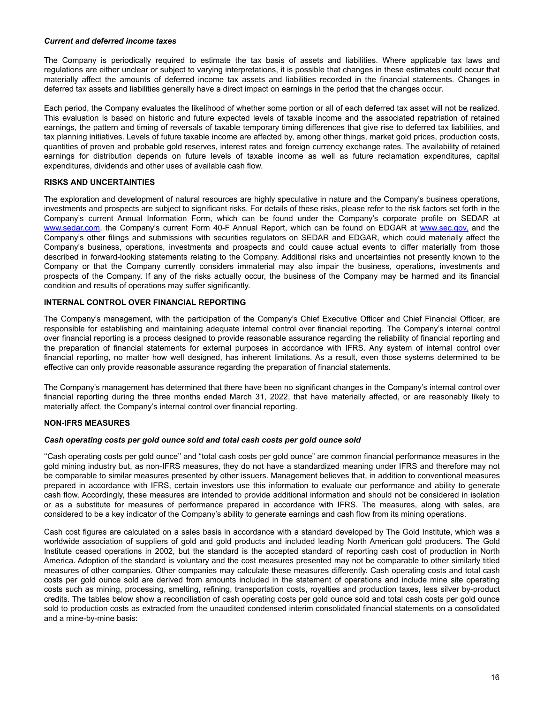#### <span id="page-15-0"></span>*Current and deferred income taxes*

The Company is periodically required to estimate the tax basis of assets and liabilities. Where applicable tax laws and regulations are either unclear or subject to varying interpretations, it is possible that changes in these estimates could occur that materially affect the amounts of deferred income tax assets and liabilities recorded in the financial statements. Changes in deferred tax assets and liabilities generally have a direct impact on earnings in the period that the changes occur.

Each period, the Company evaluates the likelihood of whether some portion or all of each deferred tax asset will not be realized. This evaluation is based on historic and future expected levels of taxable income and the associated repatriation of retained earnings, the pattern and timing of reversals of taxable temporary timing differences that give rise to deferred tax liabilities, and tax planning initiatives. Levels of future taxable income are affected by, among other things, market gold prices, production costs, quantities of proven and probable gold reserves, interest rates and foreign currency exchange rates. The availability of retained earnings for distribution depends on future levels of taxable income as well as future reclamation expenditures, capital expenditures, dividends and other uses of available cash flow.

### **RISKS AND UNCERTAINTIES**

The exploration and development of natural resources are highly speculative in nature and the Company's business operations, investments and prospects are subject to significant risks. For details of these risks, please refer to the risk factors set forth in the Company's current Annual Information Form, which can be found under the Company's corporate profile on SEDAR at www.sedar.com, the Company's current Form 40-F Annual Report, which can be found on EDGAR at www.sec.gov, and the Company's other filings and submissions with securities regulators on SEDAR and EDGAR, which could materially affect the Company's business, operations, investments and prospects and could cause actual events to differ materially from those described in forward-looking statements relating to the Company. Additional risks and uncertainties not presently known to the Company or that the Company currently considers immaterial may also impair the business, operations, investments and prospects of the Company. If any of the risks actually occur, the business of the Company may be harmed and its financial condition and results of operations may suffer significantly.

### **INTERNAL CONTROL OVER FINANCIAL REPORTING**

The Company's management, with the participation of the Company's Chief Executive Officer and Chief Financial Officer, are responsible for establishing and maintaining adequate internal control over financial reporting. The Company's internal control over financial reporting is a process designed to provide reasonable assurance regarding the reliability of financial reporting and the preparation of financial statements for external purposes in accordance with IFRS. Any system of internal control over financial reporting, no matter how well designed, has inherent limitations. As a result, even those systems determined to be effective can only provide reasonable assurance regarding the preparation of financial statements.

The Company's management has determined that there have been no significant changes in the Company's internal control over financial reporting during the three months ended March 31, 2022, that have materially affected, or are reasonably likely to materially affect, the Company's internal control over financial reporting.

### **NON-IFRS MEASURES**

#### *Cash operating costs per gold ounce sold and total cash costs per gold ounce sold*

''Cash operating costs per gold ounce'' and "total cash costs per gold ounce" are common financial performance measures in the gold mining industry but, as non-IFRS measures, they do not have a standardized meaning under IFRS and therefore may not be comparable to similar measures presented by other issuers. Management believes that, in addition to conventional measures prepared in accordance with IFRS, certain investors use this information to evaluate our performance and ability to generate cash flow. Accordingly, these measures are intended to provide additional information and should not be considered in isolation or as a substitute for measures of performance prepared in accordance with IFRS. The measures, along with sales, are considered to be a key indicator of the Company's ability to generate earnings and cash flow from its mining operations.

Cash cost figures are calculated on a sales basis in accordance with a standard developed by The Gold Institute, which was a worldwide association of suppliers of gold and gold products and included leading North American gold producers. The Gold Institute ceased operations in 2002, but the standard is the accepted standard of reporting cash cost of production in North America. Adoption of the standard is voluntary and the cost measures presented may not be comparable to other similarly titled measures of other companies. Other companies may calculate these measures differently. Cash operating costs and total cash costs per gold ounce sold are derived from amounts included in the statement of operations and include mine site operating costs such as mining, processing, smelting, refining, transportation costs, royalties and production taxes, less silver by-product credits. The tables below show a reconciliation of cash operating costs per gold ounce sold and total cash costs per gold ounce sold to production costs as extracted from the unaudited condensed interim consolidated financial statements on a consolidated and a mine-by-mine basis: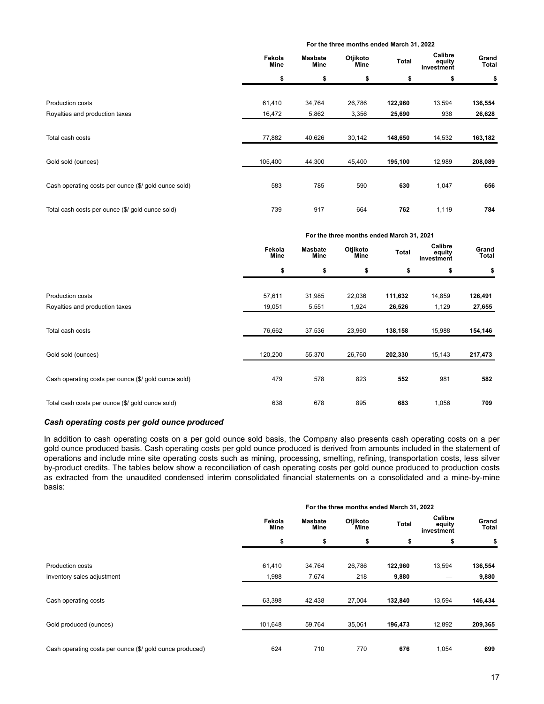**For the three months ended March 31, 2022**

|                                                      | Fekola<br>Mine | <b>Masbate</b><br>Mine | Otjikoto<br>Mine | Total   | Calibre<br>equity<br>investment | Grand<br>Total |
|------------------------------------------------------|----------------|------------------------|------------------|---------|---------------------------------|----------------|
|                                                      | \$             | \$                     | \$               | \$      | \$                              | \$             |
| Production costs                                     | 61,410         | 34,764                 | 26,786           | 122,960 | 13,594                          | 136,554        |
| Royalties and production taxes                       | 16,472         | 5,862                  | 3,356            | 25,690  | 938                             | 26,628         |
| Total cash costs                                     | 77,882         | 40,626                 | 30,142           | 148,650 | 14,532                          | 163,182        |
| Gold sold (ounces)                                   | 105,400        | 44,300                 | 45,400           | 195,100 | 12,989                          | 208,089        |
| Cash operating costs per ounce (\$/ gold ounce sold) | 583            | 785                    | 590              | 630     | 1,047                           | 656            |
| Total cash costs per ounce (\$/ gold ounce sold)     | 739            | 917                    | 664              | 762     | 1,119                           | 784            |

|                                                      |                |                        | For the three months ended March 31, 2021 |         |                                 |                       |
|------------------------------------------------------|----------------|------------------------|-------------------------------------------|---------|---------------------------------|-----------------------|
|                                                      | Fekola<br>Mine | <b>Masbate</b><br>Mine | Otjikoto<br>Mine                          | Total   | Calibre<br>equity<br>investment | Grand<br><b>Total</b> |
|                                                      | \$             | \$                     | \$                                        | \$      | \$                              | \$                    |
| Production costs                                     | 57,611         | 31,985                 | 22,036                                    | 111,632 | 14,859                          | 126,491               |
| Royalties and production taxes                       | 19,051         | 5,551                  | 1,924                                     | 26,526  | 1,129                           | 27,655                |
| Total cash costs                                     | 76,662         | 37,536                 | 23,960                                    | 138,158 | 15,988                          | 154,146               |
| Gold sold (ounces)                                   | 120,200        | 55,370                 | 26,760                                    | 202,330 | 15,143                          | 217,473               |
| Cash operating costs per ounce (\$/ gold ounce sold) | 479            | 578                    | 823                                       | 552     | 981                             | 582                   |
| Total cash costs per ounce (\$/ gold ounce sold)     | 638            | 678                    | 895                                       | 683     | 1,056                           | 709                   |

### *Cash operating costs per gold ounce produced*

In addition to cash operating costs on a per gold ounce sold basis, the Company also presents cash operating costs on a per gold ounce produced basis. Cash operating costs per gold ounce produced is derived from amounts included in the statement of operations and include mine site operating costs such as mining, processing, smelting, refining, transportation costs, less silver by-product credits. The tables below show a reconciliation of cash operating costs per gold ounce produced to production costs as extracted from the unaudited condensed interim consolidated financial statements on a consolidated and a mine-by-mine basis:

|                                                          | For the three months ended March 31, 2022 |                        |                  |              |                                 |                |
|----------------------------------------------------------|-------------------------------------------|------------------------|------------------|--------------|---------------------------------|----------------|
|                                                          | Fekola<br>Mine                            | <b>Masbate</b><br>Mine | Otjikoto<br>Mine | <b>Total</b> | Calibre<br>equity<br>investment | Grand<br>Total |
|                                                          | \$                                        | \$                     | \$               | \$           | \$                              | \$             |
| Production costs                                         | 61,410                                    | 34,764                 | 26,786           | 122,960      | 13,594                          | 136,554        |
| Inventory sales adjustment                               | 1,988                                     | 7,674                  | 218              | 9,880        |                                 | 9,880          |
|                                                          |                                           |                        |                  |              |                                 |                |
| Cash operating costs                                     | 63,398                                    | 42,438                 | 27,004           | 132,840      | 13,594                          | 146,434        |
| Gold produced (ounces)                                   | 101,648                                   | 59,764                 | 35,061           | 196,473      | 12,892                          | 209,365        |
| Cash operating costs per ounce (\$/ gold ounce produced) | 624                                       | 710                    | 770              | 676          | 1,054                           | 699            |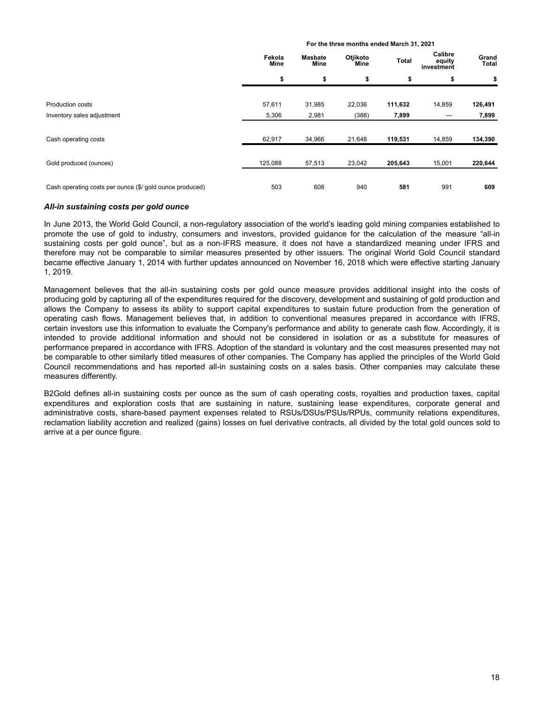|                                                          | Fekola<br><b>Mine</b> | <b>Masbate</b><br>Mine | Otjikoto<br>Mine | Total   | Calibre<br>equity<br>investment | Grand<br><b>Total</b> |
|----------------------------------------------------------|-----------------------|------------------------|------------------|---------|---------------------------------|-----------------------|
|                                                          | \$                    | \$                     | \$               | \$      | \$                              | \$                    |
| Production costs                                         | 57,611                | 31,985                 | 22,036           | 111,632 | 14,859                          | 126,491               |
| Inventory sales adjustment                               | 5,306                 | 2,981                  | (388)            | 7,899   |                                 | 7,899                 |
| Cash operating costs                                     | 62,917                | 34,966                 | 21,648           | 119,531 | 14,859                          | 134,390               |
| Gold produced (ounces)                                   | 125,088               | 57,513                 | 23,042           | 205,643 | 15,001                          | 220,644               |
| Cash operating costs per ounce (\$/ gold ounce produced) | 503                   | 608                    | 940              | 581     | 991                             | 609                   |

#### *All-in sustaining costs per gold ounce*

In June 2013, the World Gold Council, a non-regulatory association of the world's leading gold mining companies established to promote the use of gold to industry, consumers and investors, provided guidance for the calculation of the measure "all-in sustaining costs per gold ounce", but as a non-IFRS measure, it does not have a standardized meaning under IFRS and therefore may not be comparable to similar measures presented by other issuers. The original World Gold Council standard became effective January 1, 2014 with further updates announced on November 16, 2018 which were effective starting January 1, 2019.

Management believes that the all-in sustaining costs per gold ounce measure provides additional insight into the costs of producing gold by capturing all of the expenditures required for the discovery, development and sustaining of gold production and allows the Company to assess its ability to support capital expenditures to sustain future production from the generation of operating cash flows. Management believes that, in addition to conventional measures prepared in accordance with IFRS, certain investors use this information to evaluate the Company's performance and ability to generate cash flow. Accordingly, it is intended to provide additional information and should not be considered in isolation or as a substitute for measures of performance prepared in accordance with IFRS. Adoption of the standard is voluntary and the cost measures presented may not be comparable to other similarly titled measures of other companies. The Company has applied the principles of the World Gold Council recommendations and has reported all-in sustaining costs on a sales basis. Other companies may calculate these measures differently.

B2Gold defines all-in sustaining costs per ounce as the sum of cash operating costs, royalties and production taxes, capital expenditures and exploration costs that are sustaining in nature, sustaining lease expenditures, corporate general and administrative costs, share-based payment expenses related to RSUs/DSUs/PSUs/RPUs, community relations expenditures, reclamation liability accretion and realized (gains) losses on fuel derivative contracts, all divided by the total gold ounces sold to arrive at a per ounce figure.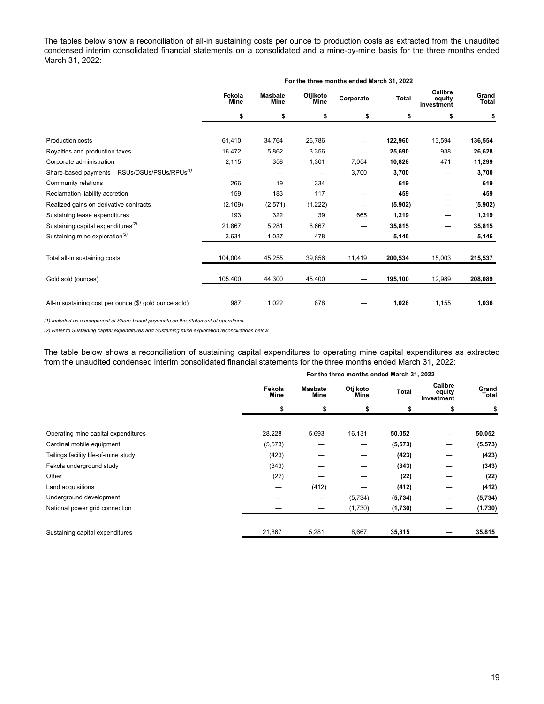The tables below show a reconciliation of all-in sustaining costs per ounce to production costs as extracted from the unaudited condensed interim consolidated financial statements on a consolidated and a mine-by-mine basis for the three months ended March 31, 2022:

|                                                           | For the three months ended March 31, 2022 |                               |                         |           |              |                                 |                |  |  |
|-----------------------------------------------------------|-------------------------------------------|-------------------------------|-------------------------|-----------|--------------|---------------------------------|----------------|--|--|
|                                                           | Fekola<br>Mine                            | <b>Masbate</b><br><b>Mine</b> | Otjikoto<br><b>Mine</b> | Corporate | <b>Total</b> | Calibre<br>equity<br>investment | Grand<br>Total |  |  |
|                                                           | \$                                        | \$                            | \$                      | \$        | \$           | \$                              | \$             |  |  |
|                                                           |                                           |                               |                         |           |              |                                 |                |  |  |
| Production costs                                          | 61,410                                    | 34,764                        | 26,786                  |           | 122,960      | 13,594                          | 136,554        |  |  |
| Royalties and production taxes                            | 16,472                                    | 5,862                         | 3,356                   |           | 25,690       | 938                             | 26,628         |  |  |
| Corporate administration                                  | 2,115                                     | 358                           | 1,301                   | 7,054     | 10,828       | 471                             | 11,299         |  |  |
| Share-based payments - RSUs/DSUs/PSUs/RPUs <sup>(1)</sup> |                                           |                               |                         | 3,700     | 3,700        |                                 | 3,700          |  |  |
| Community relations                                       | 266                                       | 19                            | 334                     |           | 619          |                                 | 619            |  |  |
| Reclamation liability accretion                           | 159                                       | 183                           | 117                     |           | 459          |                                 | 459            |  |  |
| Realized gains on derivative contracts                    | (2, 109)                                  | (2,571)                       | (1, 222)                |           | (5,902)      |                                 | (5,902)        |  |  |
| Sustaining lease expenditures                             | 193                                       | 322                           | 39                      | 665       | 1,219        |                                 | 1,219          |  |  |
| Sustaining capital expenditures $(2)$                     | 21,867                                    | 5,281                         | 8,667                   | —         | 35,815       |                                 | 35,815         |  |  |
| Sustaining mine exploration <sup><math>(2)</math></sup>   | 3,631                                     | 1,037                         | 478                     |           | 5,146        |                                 | 5,146          |  |  |
| Total all-in sustaining costs                             | 104,004                                   | 45,255                        | 39,856                  | 11,419    | 200,534      | 15,003                          | 215,537        |  |  |
| Gold sold (ounces)                                        | 105,400                                   | 44,300                        | 45,400                  |           | 195,100      | 12,989                          | 208,089        |  |  |
| All-in sustaining cost per ounce (\$/ gold ounce sold)    | 987                                       | 1,022                         | 878                     |           | 1,028        | 1,155                           | 1,036          |  |  |

*(1) Included as a component of Share-based payments on the Statement of operations.* 

*(2) Refer to Sustaining capital expenditures and Sustaining mine exploration reconciliations below.*

The table below shows a reconciliation of sustaining capital expenditures to operating mine capital expenditures as extracted from the unaudited condensed interim consolidated financial statements for the three months ended March 31, 2022:

|                                      | For the three months ended March 31, 2022 |                 |                  |          |                                 |                |  |  |
|--------------------------------------|-------------------------------------------|-----------------|------------------|----------|---------------------------------|----------------|--|--|
|                                      | Fekola<br>Mine                            | Masbate<br>Mine | Otjikoto<br>Mine | Total    | Calibre<br>equity<br>investment | Grand<br>Total |  |  |
|                                      | \$                                        | \$              | \$               | \$       | \$                              | \$             |  |  |
| Operating mine capital expenditures  | 28,228                                    | 5,693           | 16,131           | 50,052   |                                 | 50,052         |  |  |
| Cardinal mobile equipment            | (5, 573)                                  |                 |                  | (5, 573) | –                               | (5, 573)       |  |  |
| Tailings facility life-of-mine study | (423)                                     |                 |                  | (423)    |                                 | (423)          |  |  |
| Fekola underground study             | (343)                                     |                 |                  | (343)    |                                 | (343)          |  |  |
| Other                                | (22)                                      |                 |                  | (22)     |                                 | (22)           |  |  |
| Land acquisitions                    | --                                        | (412)           |                  | (412)    |                                 | (412)          |  |  |
| Underground development              |                                           |                 | (5,734)          | (5,734)  |                                 | (5,734)        |  |  |
| National power grid connection       |                                           |                 | (1,730)          | (1,730)  |                                 | (1,730)        |  |  |
| Sustaining capital expenditures      | 21,867                                    | 5,281           | 8,667            | 35,815   |                                 | 35,815         |  |  |

19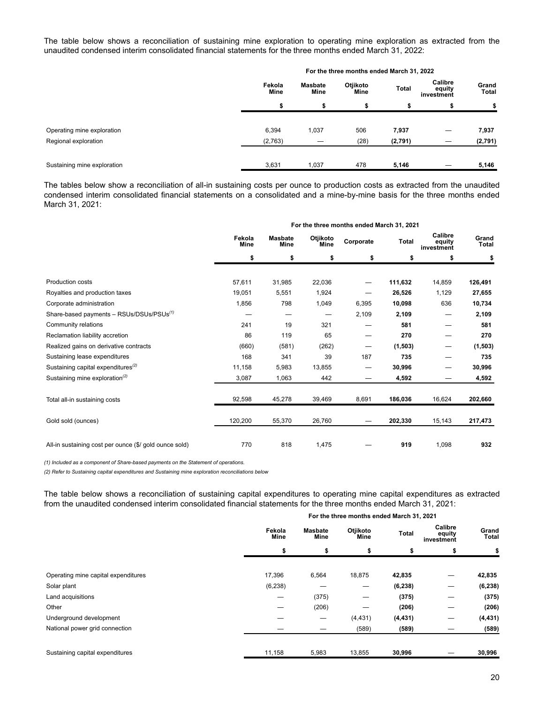The table below shows a reconciliation of sustaining mine exploration to operating mine exploration as extracted from the unaudited condensed interim consolidated financial statements for the three months ended March 31, 2022:

|                             |                | For the three months ended March 31, 2022 |                  |         |                                 |                       |  |  |  |  |
|-----------------------------|----------------|-------------------------------------------|------------------|---------|---------------------------------|-----------------------|--|--|--|--|
|                             | Fekola<br>Mine | <b>Masbate</b><br>Mine                    | Otjikoto<br>Mine | Total   | Calibre<br>equity<br>investment | Grand<br><b>Total</b> |  |  |  |  |
|                             | э              | \$                                        | ъ                | \$      | J.                              | \$                    |  |  |  |  |
| Operating mine exploration  | 6,394          | 1,037                                     | 506              | 7,937   |                                 | 7,937                 |  |  |  |  |
| Regional exploration        | (2,763)        |                                           | (28)             | (2,791) |                                 | (2,791)               |  |  |  |  |
|                             |                |                                           |                  |         |                                 |                       |  |  |  |  |
| Sustaining mine exploration | 3,631          | 1,037                                     | 478              | 5,146   |                                 | 5,146                 |  |  |  |  |

The tables below show a reconciliation of all-in sustaining costs per ounce to production costs as extracted from the unaudited condensed interim consolidated financial statements on a consolidated and a mine-by-mine basis for the three months ended March 31, 2021:

|                                                         | For the three months ended March 31, 2021 |                               |                         |                                |          |                                 |                       |  |  |
|---------------------------------------------------------|-------------------------------------------|-------------------------------|-------------------------|--------------------------------|----------|---------------------------------|-----------------------|--|--|
|                                                         | Fekola<br><b>Mine</b>                     | <b>Masbate</b><br><b>Mine</b> | Otjikoto<br><b>Mine</b> | Corporate                      | Total    | Calibre<br>equity<br>investment | Grand<br><b>Total</b> |  |  |
|                                                         | \$                                        | \$                            | \$                      | \$                             | \$       | \$                              | \$                    |  |  |
| <b>Production costs</b>                                 | 57,611                                    | 31,985                        | 22,036                  |                                | 111,632  | 14,859                          | 126,491               |  |  |
| Royalties and production taxes                          | 19,051                                    | 5,551                         | 1,924                   |                                | 26,526   | 1,129                           | 27,655                |  |  |
| Corporate administration                                | 1,856                                     | 798                           | 1,049                   | 6,395                          | 10,098   | 636                             | 10,734                |  |  |
| Share-based payments - RSUs/DSUs/PSUs <sup>(1)</sup>    |                                           | –                             |                         | 2,109                          | 2,109    |                                 | 2,109                 |  |  |
| Community relations                                     | 241                                       | 19                            | 321                     |                                | 581      |                                 | 581                   |  |  |
| Reclamation liability accretion                         | 86                                        | 119                           | 65                      | $\qquad \qquad \longleftarrow$ | 270      |                                 | 270                   |  |  |
| Realized gains on derivative contracts                  | (660)                                     | (581)                         | (262)                   | $\qquad \qquad -$              | (1, 503) |                                 | (1, 503)              |  |  |
| Sustaining lease expenditures                           | 168                                       | 341                           | 39                      | 187                            | 735      |                                 | 735                   |  |  |
| Sustaining capital expenditures $^{(2)}$                | 11,158                                    | 5,983                         | 13,855                  | $\overline{\phantom{0}}$       | 30,996   |                                 | 30,996                |  |  |
| Sustaining mine exploration <sup><math>(2)</math></sup> | 3,087                                     | 1,063                         | 442                     |                                | 4,592    |                                 | 4,592                 |  |  |
| Total all-in sustaining costs                           | 92,598                                    | 45,278                        | 39,469                  | 8,691                          | 186,036  | 16,624                          | 202,660               |  |  |
| Gold sold (ounces)                                      | 120,200                                   | 55,370                        | 26,760                  |                                | 202,330  | 15,143                          | 217,473               |  |  |
| All-in sustaining cost per ounce (\$/ gold ounce sold)  | 770                                       | 818                           | 1,475                   |                                | 919      | 1,098                           | 932                   |  |  |

*(1) Included as a component of Share-based payments on the Statement of operations.* 

*(2) Refer to Sustaining capital expenditures and Sustaining mine exploration reconciliations below*

The table below shows a reconciliation of sustaining capital expenditures to operating mine capital expenditures as extracted from the unaudited condensed interim consolidated financial statements for the three months ended March 31, 2021:

|                                     | For the three months ended March 31, 2021 |                                |                  |          |                                 |                       |  |  |  |
|-------------------------------------|-------------------------------------------|--------------------------------|------------------|----------|---------------------------------|-----------------------|--|--|--|
|                                     | Fekola<br><b>Mine</b>                     | <b>Masbate</b><br>Mine         | Otjikoto<br>Mine | Total    | Calibre<br>equity<br>investment | Grand<br><b>Total</b> |  |  |  |
|                                     | \$                                        | \$                             | \$               | \$       | \$                              | \$                    |  |  |  |
| Operating mine capital expenditures | 17,396                                    | 6,564                          | 18,875           | 42,835   |                                 | 42,835                |  |  |  |
|                                     |                                           |                                |                  |          |                                 |                       |  |  |  |
| Solar plant                         | (6, 238)                                  |                                |                  | (6, 238) | –                               | (6, 238)              |  |  |  |
| Land acquisitions                   | –                                         | (375)                          |                  | (375)    |                                 | (375)                 |  |  |  |
| Other                               |                                           | (206)                          |                  | (206)    |                                 | (206)                 |  |  |  |
| Underground development             |                                           | $\qquad \qquad \longleftarrow$ | (4, 431)         | (4, 431) |                                 | (4, 431)              |  |  |  |
| National power grid connection      |                                           |                                | (589)            | (589)    |                                 | (589)                 |  |  |  |
|                                     |                                           |                                |                  |          |                                 |                       |  |  |  |
| Sustaining capital expenditures     | 11,158                                    | 5,983                          | 13,855           | 30,996   |                                 | 30,996                |  |  |  |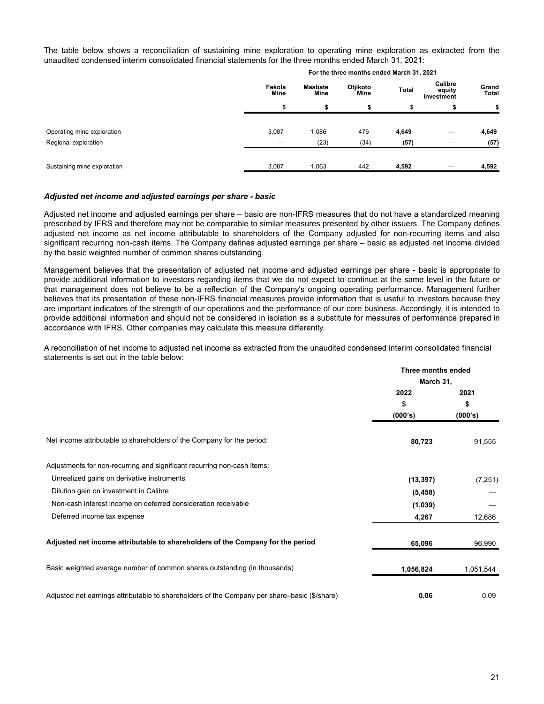The table below shows a reconciliation of sustaining mine exploration to operating mine exploration as extracted from the unaudited condensed interim consolidated financial statements for the three months ended March 31, 2021:

|                             | Fekola<br><b>Mine</b> | Masbate<br>Mine | Otjikoto<br>Mine | Total | Calibre<br>equity<br>investment | Grand<br><b>Total</b> |
|-----------------------------|-----------------------|-----------------|------------------|-------|---------------------------------|-----------------------|
|                             | S                     | S               | S                |       |                                 |                       |
| Operating mine exploration  | 3,087                 | 1,086           | 476              | 4,649 |                                 | 4,649                 |
| Regional exploration        |                       | (23)            | (34)             | (57)  |                                 | (57)                  |
| Sustaining mine exploration | 3,087                 | 1,063           | 442              | 4,592 |                                 | 4,592                 |

#### **For the three months ended March 31, 2021**

#### *Adjusted net income and adjusted earnings per share - basic*

Adjusted net income and adjusted earnings per share – basic are non-IFRS measures that do not have a standardized meaning prescribed by IFRS and therefore may not be comparable to similar measures presented by other issuers. The Company defines adjusted net income as net income attributable to shareholders of the Company adjusted for non-recurring items and also significant recurring non-cash items. The Company defines adjusted earnings per share – basic as adjusted net income divided by the basic weighted number of common shares outstanding.

Management believes that the presentation of adjusted net income and adjusted earnings per share - basic is appropriate to provide additional information to investors regarding items that we do not expect to continue at the same level in the future or that management does not believe to be a reflection of the Company's ongoing operating performance. Management further believes that its presentation of these non-IFRS financial measures provide information that is useful to investors because they are important indicators of the strength of our operations and the performance of our core business. Accordingly, it is intended to provide additional information and should not be considered in isolation as a substitute for measures of performance prepared in accordance with IFRS. Other companies may calculate this measure differently.

A reconciliation of net income to adjusted net income as extracted from the unaudited condensed interim consolidated financial statements is set out in the table below:

|                                                                                              | Three months ended<br>March 31,<br>2022<br>\$<br>(000's)<br>80,723<br>(13, 397)<br>(5, 458)<br>(1,039)<br>4,267<br>65,096<br>1,056,824 | 2021      |
|----------------------------------------------------------------------------------------------|----------------------------------------------------------------------------------------------------------------------------------------|-----------|
|                                                                                              |                                                                                                                                        | \$        |
|                                                                                              |                                                                                                                                        | (000's)   |
| Net income attributable to shareholders of the Company for the period:                       |                                                                                                                                        | 91,555    |
| Adjustments for non-recurring and significant recurring non-cash items:                      |                                                                                                                                        |           |
| Unrealized gains on derivative instruments                                                   |                                                                                                                                        | (7, 251)  |
| Dilution gain on investment in Calibre                                                       |                                                                                                                                        |           |
| Non-cash interest income on deferred consideration receivable                                |                                                                                                                                        |           |
| Deferred income tax expense                                                                  |                                                                                                                                        | 12,686    |
| Adjusted net income attributable to shareholders of the Company for the period               |                                                                                                                                        | 96,990    |
| Basic weighted average number of common shares outstanding (in thousands)                    |                                                                                                                                        | 1,051,544 |
| Adjusted net earnings attributable to shareholders of the Company per share-basic (\$/share) | 0.06                                                                                                                                   | 0.09      |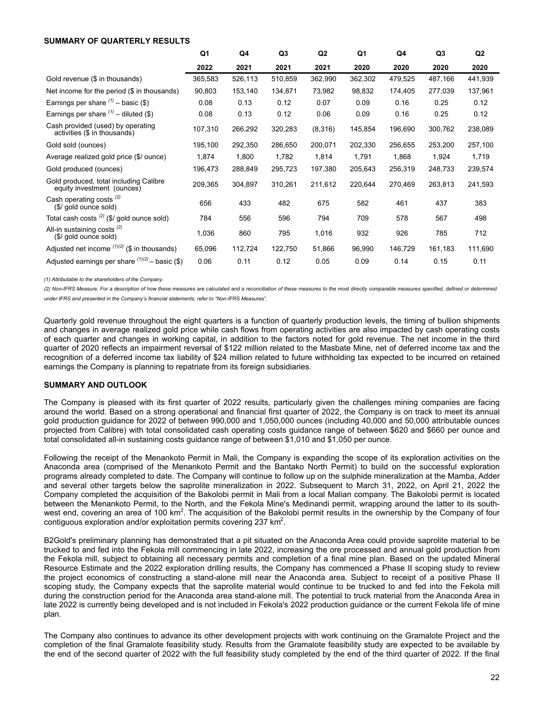#### <span id="page-21-0"></span>**SUMMARY OF QUARTERLY RESULTS**

|                                                                      | Q1      | Q4      | Q <sub>3</sub> | Q2      | Q1      | Q4      | Q3      | Q2      |
|----------------------------------------------------------------------|---------|---------|----------------|---------|---------|---------|---------|---------|
|                                                                      | 2022    | 2021    | 2021           | 2021    | 2020    | 2020    | 2020    | 2020    |
| Gold revenue (\$ in thousands)                                       | 365,583 | 526,113 | 510,859        | 362,990 | 362,302 | 479,525 | 487,166 | 441,939 |
| Net income for the period (\$ in thousands)                          | 90,803  | 153,140 | 134,871        | 73,982  | 98,832  | 174,405 | 277,039 | 137,961 |
| Earnings per share $(1)$ – basic (\$)                                | 0.08    | 0.13    | 0.12           | 0.07    | 0.09    | 0.16    | 0.25    | 0.12    |
| Earnings per share $(1)$ – diluted (\$)                              | 0.08    | 0.13    | 0.12           | 0.06    | 0.09    | 0.16    | 0.25    | 0.12    |
| Cash provided (used) by operating<br>activities (\$ in thousands)    | 107,310 | 266,292 | 320,283        | (8,316) | 145,854 | 196,690 | 300,762 | 238,089 |
| Gold sold (ounces)                                                   | 195,100 | 292,350 | 286,650        | 200,071 | 202,330 | 256,655 | 253,200 | 257,100 |
| Average realized gold price (\$/ ounce)                              | 1,874   | 1,800   | 1,782          | 1,814   | 1,791   | 1,868   | 1,924   | 1,719   |
| Gold produced (ounces)                                               | 196,473 | 288,849 | 295,723        | 197,380 | 205,643 | 256,319 | 248,733 | 239,574 |
| Gold produced, total including Calibre<br>equity investment (ounces) | 209,365 | 304,897 | 310,261        | 211,612 | 220,644 | 270,469 | 263,813 | 241,593 |
| Cash operating costs <sup>(2)</sup><br>(\$/ gold ounce sold)         | 656     | 433     | 482            | 675     | 582     | 461     | 437     | 383     |
| Total cash costs <sup>(2)</sup> (\$/ gold ounce sold)                | 784     | 556     | 596            | 794     | 709     | 578     | 567     | 498     |
| All-in sustaining costs <sup>(2)</sup><br>(\$/ gold ounce sold)      | 1,036   | 860     | 795            | 1,016   | 932     | 926     | 785     | 712     |
| Adjusted net income $(1)(2)$ (\$ in thousands)                       | 65,096  | 112,724 | 122,750        | 51,866  | 96,990  | 146,729 | 161,183 | 111,690 |
| Adjusted earnings per share $(1)(2)$ – basic (\$)                    | 0.06    | 0.11    | 0.12           | 0.05    | 0.09    | 0.14    | 0.15    | 0.11    |

*(1) Attributable to the shareholders of the Company.*

*(2) Non-IFRS Measure. For a description of how these measures are calculated and a reconciliation of these measures to the most directly comparable measures specified, defined or determined* 

*under IFRS and presented in the Company's financial statements, refer to "Non-IFRS Measures".*

Quarterly gold revenue throughout the eight quarters is a function of quarterly production levels, the timing of bullion shipments and changes in average realized gold price while cash flows from operating activities are also impacted by cash operating costs of each quarter and changes in working capital, in addition to the factors noted for gold revenue. The net income in the third quarter of 2020 reflects an impairment reversal of \$122 million related to the Masbate Mine, net of deferred income tax and the recognition of a deferred income tax liability of \$24 million related to future withholding tax expected to be incurred on retained earnings the Company is planning to repatriate from its foreign subsidiaries.

#### **SUMMARY AND OUTLOOK**

The Company is pleased with its first quarter of 2022 results, particularly given the challenges mining companies are facing around the world. Based on a strong operational and financial first quarter of 2022, the Company is on track to meet its annual gold production guidance for 2022 of between 990,000 and 1,050,000 ounces (including 40,000 and 50,000 attributable ounces projected from Calibre) with total consolidated cash operating costs guidance range of between \$620 and \$660 per ounce and total consolidated all-in sustaining costs guidance range of between \$1,010 and \$1,050 per ounce.

Following the receipt of the Menankoto Permit in Mali, the Company is expanding the scope of its exploration activities on the Anaconda area (comprised of the Menankoto Permit and the Bantako North Permit) to build on the successful exploration programs already completed to date. The Company will continue to follow up on the sulphide mineralization at the Mamba, Adder and several other targets below the saprolite mineralization in 2022. Subsequent to March 31, 2022, on April 21, 2022 the Company completed the acquisition of the Bakolobi permit in Mali from a local Malian company. The Bakolobi permit is located between the Menankoto Permit, to the North, and the Fekola Mine's Medinandi permit, wrapping around the latter to its southwest end, covering an area of 100 km<sup>2</sup>. The acquisition of the Bakolobi permit results in the ownership by the Company of four contiguous exploration and/or exploitation permits covering 237 km<sup>2</sup>.

B2Gold's preliminary planning has demonstrated that a pit situated on the Anaconda Area could provide saprolite material to be trucked to and fed into the Fekola mill commencing in late 2022, increasing the ore processed and annual gold production from the Fekola mill, subject to obtaining all necessary permits and completion of a final mine plan. Based on the updated Mineral Resource Estimate and the 2022 exploration drilling results, the Company has commenced a Phase II scoping study to review the project economics of constructing a stand-alone mill near the Anaconda area. Subject to receipt of a positive Phase II scoping study, the Company expects that the saprolite material would continue to be trucked to and fed into the Fekola mill during the construction period for the Anaconda area stand-alone mill. The potential to truck material from the Anaconda Area in late 2022 is currently being developed and is not included in Fekola's 2022 production guidance or the current Fekola life of mine plan.

The Company also continues to advance its other development projects with work continuing on the Gramalote Project and the completion of the final Gramalote feasibility study. Results from the Gramalote feasibility study are expected to be available by the end of the second quarter of 2022 with the full feasibility study completed by the end of the third quarter of 2022. If the final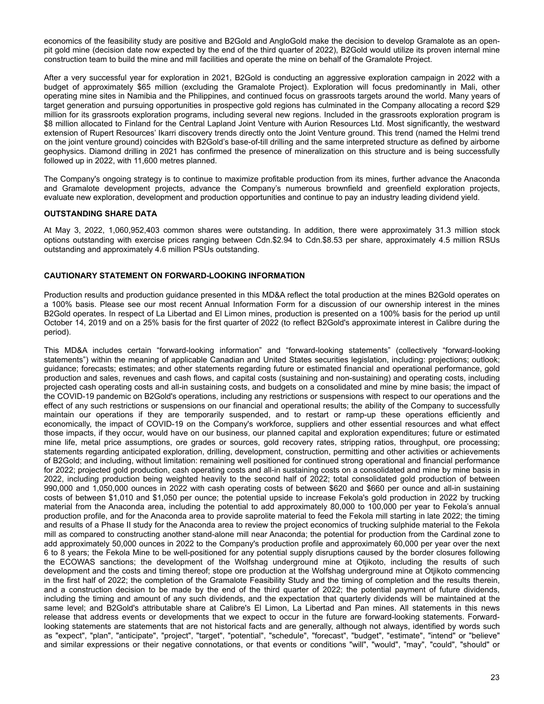<span id="page-22-0"></span>economics of the feasibility study are positive and B2Gold and AngloGold make the decision to develop Gramalote as an openpit gold mine (decision date now expected by the end of the third quarter of 2022), B2Gold would utilize its proven internal mine construction team to build the mine and mill facilities and operate the mine on behalf of the Gramalote Project.

After a very successful year for exploration in 2021, B2Gold is conducting an aggressive exploration campaign in 2022 with a budget of approximately \$65 million (excluding the Gramalote Project). Exploration will focus predominantly in Mali, other operating mine sites in Namibia and the Philippines, and continued focus on grassroots targets around the world. Many years of target generation and pursuing opportunities in prospective gold regions has culminated in the Company allocating a record \$29 million for its grassroots exploration programs, including several new regions. Included in the grassroots exploration program is \$8 million allocated to Finland for the Central Lapland Joint Venture with Aurion Resources Ltd. Most significantly, the westward extension of Rupert Resources' Ikarri discovery trends directly onto the Joint Venture ground. This trend (named the Helmi trend on the joint venture ground) coincides with B2Gold's base-of-till drilling and the same interpreted structure as defined by airborne geophysics. Diamond drilling in 2021 has confirmed the presence of mineralization on this structure and is being successfully followed up in 2022, with 11,600 metres planned.

The Company's ongoing strategy is to continue to maximize profitable production from its mines, further advance the Anaconda and Gramalote development projects, advance the Company's numerous brownfield and greenfield exploration projects, evaluate new exploration, development and production opportunities and continue to pay an industry leading dividend yield.

# **OUTSTANDING SHARE DATA**

At May 3, 2022, 1,060,952,403 common shares were outstanding. In addition, there were approximately 31.3 million stock options outstanding with exercise prices ranging between Cdn.\$2.94 to Cdn.\$8.53 per share, approximately 4.5 million RSUs outstanding and approximately 4.6 million PSUs outstanding.

# **CAUTIONARY STATEMENT ON FORWARD-LOOKING INFORMATION**

Production results and production guidance presented in this MD&A reflect the total production at the mines B2Gold operates on a 100% basis. Please see our most recent Annual Information Form for a discussion of our ownership interest in the mines B2Gold operates. In respect of La Libertad and El Limon mines, production is presented on a 100% basis for the period up until October 14, 2019 and on a 25% basis for the first quarter of 2022 (to reflect B2Gold's approximate interest in Calibre during the period).

This MD&A includes certain "forward-looking information" and "forward-looking statements" (collectively "forward-looking statements") within the meaning of applicable Canadian and United States securities legislation, including: projections; outlook; guidance; forecasts; estimates; and other statements regarding future or estimated financial and operational performance, gold production and sales, revenues and cash flows, and capital costs (sustaining and non-sustaining) and operating costs, including projected cash operating costs and all-in sustaining costs, and budgets on a consolidated and mine by mine basis; the impact of the COVID-19 pandemic on B2Gold's operations, including any restrictions or suspensions with respect to our operations and the effect of any such restrictions or suspensions on our financial and operational results; the ability of the Company to successfully maintain our operations if they are temporarily suspended, and to restart or ramp-up these operations efficiently and economically, the impact of COVID-19 on the Company's workforce, suppliers and other essential resources and what effect those impacts, if they occur, would have on our business, our planned capital and exploration expenditures; future or estimated mine life, metal price assumptions, ore grades or sources, gold recovery rates, stripping ratios, throughput, ore processing; statements regarding anticipated exploration, drilling, development, construction, permitting and other activities or achievements of B2Gold; and including, without limitation: remaining well positioned for continued strong operational and financial performance for 2022; projected gold production, cash operating costs and all-in sustaining costs on a consolidated and mine by mine basis in 2022, including production being weighted heavily to the second half of 2022; total consolidated gold production of between 990,000 and 1,050,000 ounces in 2022 with cash operating costs of between \$620 and \$660 per ounce and all-in sustaining costs of between \$1,010 and \$1,050 per ounce; the potential upside to increase Fekola's gold production in 2022 by trucking material from the Anaconda area, including the potential to add approximately 80,000 to 100,000 per year to Fekola's annual production profile, and for the Anaconda area to provide saprolite material to feed the Fekola mill starting in late 2022; the timing and results of a Phase II study for the Anaconda area to review the project economics of trucking sulphide material to the Fekola mill as compared to constructing another stand-alone mill near Anaconda; the potential for production from the Cardinal zone to add approximately 50,000 ounces in 2022 to the Company's production profile and approximately 60,000 per year over the next 6 to 8 years; the Fekola Mine to be well-positioned for any potential supply disruptions caused by the border closures following the ECOWAS sanctions; the development of the Wolfshag underground mine at Otjikoto, including the results of such development and the costs and timing thereof; stope ore production at the Wolfshag underground mine at Otjikoto commencing in the first half of 2022; the completion of the Gramalote Feasibility Study and the timing of completion and the results therein, and a construction decision to be made by the end of the third quarter of 2022; the potential payment of future dividends, including the timing and amount of any such dividends, and the expectation that quarterly dividends will be maintained at the same level; and B2Gold's attributable share at Calibre's El Limon, La Libertad and Pan mines. All statements in this news release that address events or developments that we expect to occur in the future are forward-looking statements. Forwardlooking statements are statements that are not historical facts and are generally, although not always, identified by words such as "expect", "plan", "anticipate", "project", "target", "potential", "schedule", "forecast", "budget", "estimate", "intend" or "believe" and similar expressions or their negative connotations, or that events or conditions "will", "would", "may", "could", "should" or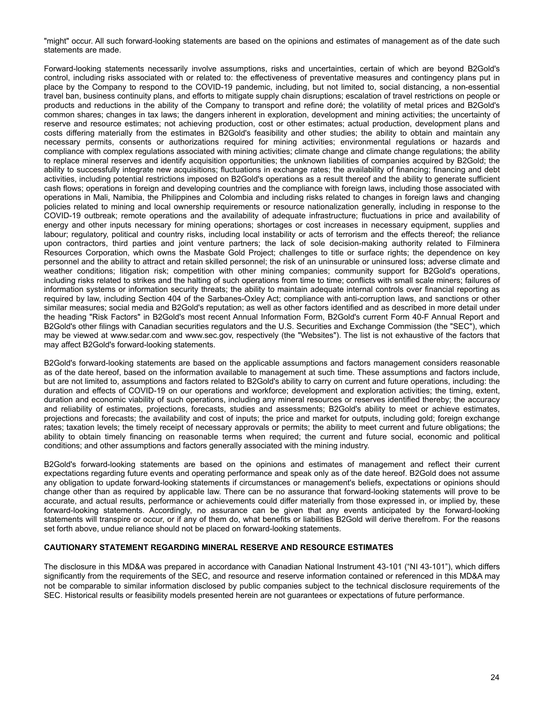"might" occur. All such forward-looking statements are based on the opinions and estimates of management as of the date such statements are made.

Forward-looking statements necessarily involve assumptions, risks and uncertainties, certain of which are beyond B2Gold's control, including risks associated with or related to: the effectiveness of preventative measures and contingency plans put in place by the Company to respond to the COVID-19 pandemic, including, but not limited to, social distancing, a non-essential travel ban, business continuity plans, and efforts to mitigate supply chain disruptions; escalation of travel restrictions on people or products and reductions in the ability of the Company to transport and refine doré; the volatility of metal prices and B2Gold's common shares; changes in tax laws; the dangers inherent in exploration, development and mining activities; the uncertainty of reserve and resource estimates; not achieving production, cost or other estimates; actual production, development plans and costs differing materially from the estimates in B2Gold's feasibility and other studies; the ability to obtain and maintain any necessary permits, consents or authorizations required for mining activities; environmental regulations or hazards and compliance with complex regulations associated with mining activities; climate change and climate change regulations; the ability to replace mineral reserves and identify acquisition opportunities; the unknown liabilities of companies acquired by B2Gold; the ability to successfully integrate new acquisitions; fluctuations in exchange rates; the availability of financing; financing and debt activities, including potential restrictions imposed on B2Gold's operations as a result thereof and the ability to generate sufficient cash flows; operations in foreign and developing countries and the compliance with foreign laws, including those associated with operations in Mali, Namibia, the Philippines and Colombia and including risks related to changes in foreign laws and changing policies related to mining and local ownership requirements or resource nationalization generally, including in response to the COVID-19 outbreak; remote operations and the availability of adequate infrastructure; fluctuations in price and availability of energy and other inputs necessary for mining operations; shortages or cost increases in necessary equipment, supplies and labour; regulatory, political and country risks, including local instability or acts of terrorism and the effects thereof; the reliance upon contractors, third parties and joint venture partners; the lack of sole decision-making authority related to Filminera Resources Corporation, which owns the Masbate Gold Project; challenges to title or surface rights; the dependence on key personnel and the ability to attract and retain skilled personnel; the risk of an uninsurable or uninsured loss; adverse climate and weather conditions; litigation risk; competition with other mining companies; community support for B2Gold's operations, including risks related to strikes and the halting of such operations from time to time; conflicts with small scale miners; failures of information systems or information security threats; the ability to maintain adequate internal controls over financial reporting as required by law, including Section 404 of the Sarbanes-Oxley Act; compliance with anti-corruption laws, and sanctions or other similar measures; social media and B2Gold's reputation; as well as other factors identified and as described in more detail under the heading "Risk Factors" in B2Gold's most recent Annual Information Form, B2Gold's current Form 40-F Annual Report and B2Gold's other filings with Canadian securities regulators and the U.S. Securities and Exchange Commission (the "SEC"), which may be viewed at www.sedar.com and www.sec.gov, respectively (the "Websites"). The list is not exhaustive of the factors that may affect B2Gold's forward-looking statements.

B2Gold's forward-looking statements are based on the applicable assumptions and factors management considers reasonable as of the date hereof, based on the information available to management at such time. These assumptions and factors include, but are not limited to, assumptions and factors related to B2Gold's ability to carry on current and future operations, including: the duration and effects of COVID-19 on our operations and workforce; development and exploration activities; the timing, extent, duration and economic viability of such operations, including any mineral resources or reserves identified thereby; the accuracy and reliability of estimates, projections, forecasts, studies and assessments; B2Gold's ability to meet or achieve estimates, projections and forecasts; the availability and cost of inputs; the price and market for outputs, including gold; foreign exchange rates; taxation levels; the timely receipt of necessary approvals or permits; the ability to meet current and future obligations; the ability to obtain timely financing on reasonable terms when required; the current and future social, economic and political conditions; and other assumptions and factors generally associated with the mining industry.

B2Gold's forward-looking statements are based on the opinions and estimates of management and reflect their current expectations regarding future events and operating performance and speak only as of the date hereof. B2Gold does not assume any obligation to update forward-looking statements if circumstances or management's beliefs, expectations or opinions should change other than as required by applicable law. There can be no assurance that forward-looking statements will prove to be accurate, and actual results, performance or achievements could differ materially from those expressed in, or implied by, these forward-looking statements. Accordingly, no assurance can be given that any events anticipated by the forward-looking statements will transpire or occur, or if any of them do, what benefits or liabilities B2Gold will derive therefrom. For the reasons set forth above, undue reliance should not be placed on forward-looking statements.

# **CAUTIONARY STATEMENT REGARDING MINERAL RESERVE AND RESOURCE ESTIMATES**

The disclosure in this MD&A was prepared in accordance with Canadian National Instrument 43-101 ("NI 43-101"), which differs significantly from the requirements of the SEC, and resource and reserve information contained or referenced in this MD&A may not be comparable to similar information disclosed by public companies subject to the technical disclosure requirements of the SEC. Historical results or feasibility models presented herein are not guarantees or expectations of future performance.